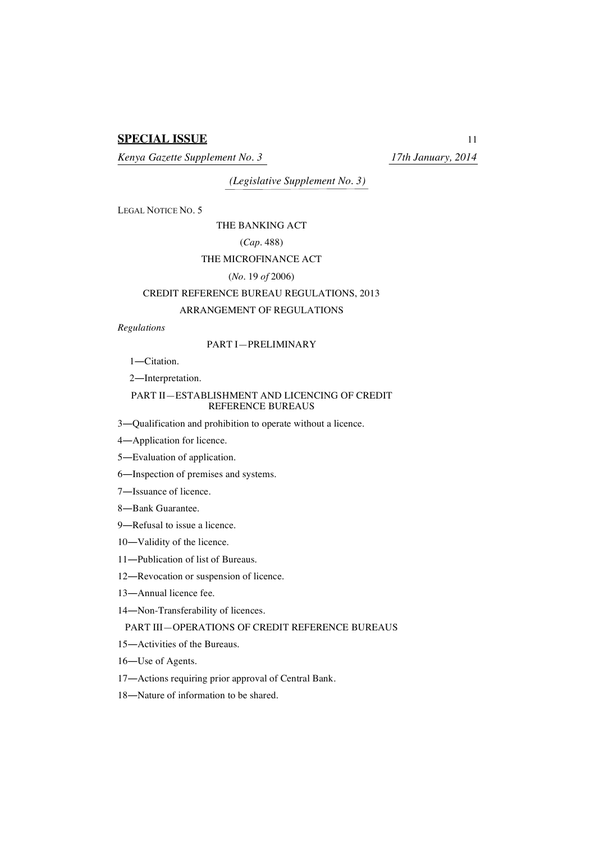# **SPECIAL ISSUE** 11

*Kenya Gazette Supplement No. 3 17th January, 2014*

*(Legislative Supplement No. 3)*

LEGAL NOTICE NO. 5

THE BANKING ACT

(*Cap.* 488)

## THE MICROFINANCE ACT

#### (*No.* 19 *of* 2006)

## CREDIT REFERENCE BUREAU REGULATIONS, 2013

## ARRANGEMENT OF REGULATIONS

## *Regulations*

## PART I—PRELIMINARY

1―Citation.

2―Interpretation.

## PART II—ESTABLISHMENT AND LICENCING OF CREDIT REFERENCE BUREAUS

3―Qualification and prohibition to operate without a licence.

4―Application for licence.

5―Evaluation of application.

6―Inspection of premises and systems.

7―Issuance of licence.

8―Bank Guarantee.

9―Refusal to issue a licence.

10―Validity of the licence.

11―Publication of list of Bureaus.

12―Revocation or suspension of licence.

13―Annual licence fee.

14―Non-Transferability of licences.

# PART III—OPERATIONS OF CREDIT REFERENCE BUREAUS

15―Activities of the Bureaus.

16―Use of Agents.

17―Actions requiring prior approval of Central Bank.

18―Nature of information to be shared.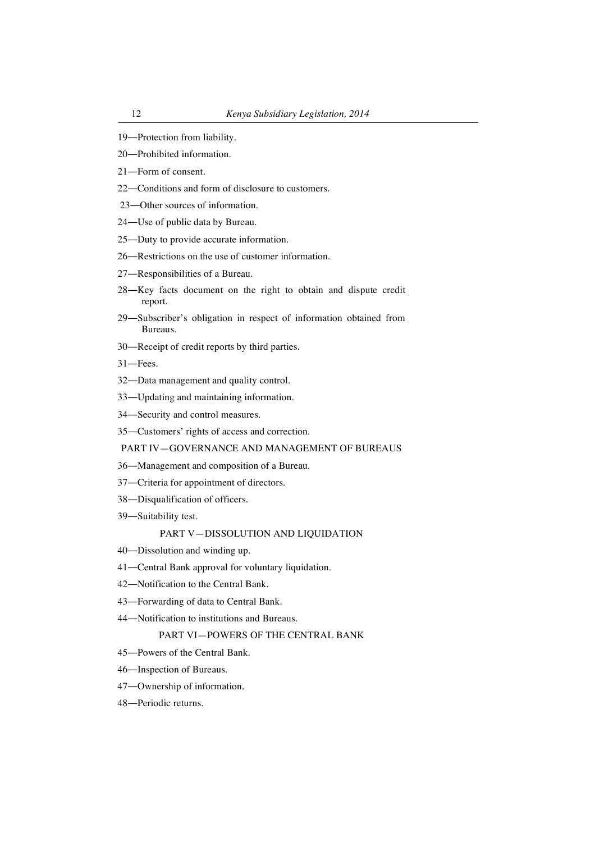- ―Protection from liability.
- ―Prohibited information.
- ―Form of consent.
- ―Conditions and form of disclosure to customers.
- ―Other sources of information.
- ―Use of public data by Bureau.
- ―Duty to provide accurate information.
- ―Restrictions on the use of customer information.
- ―Responsibilities of a Bureau.
- ―Key facts document on the right to obtain and dispute credit report.
- ―Subscriber's obligation in respect of information obtained from Bureaus.
- ―Receipt of credit reports by third parties.

―Fees.

- ―Data management and quality control.
- ―Updating and maintaining information.
- ―Security and control measures.
- ―Customers' rights of access and correction.

# PART IV—GOVERNANCE AND MANAGEMENT OF BUREAUS

- ―Management and composition of a Bureau.
- ―Criteria for appointment of directors.
- ―Disqualification of officers.
- ―Suitability test.

## PART V—DISSOLUTION AND LIQUIDATION

- ―Dissolution and winding up.
- ―Central Bank approval for voluntary liquidation.
- ―Notification to the Central Bank.
- ―Forwarding of data to Central Bank.
- ―Notification to institutions and Bureaus.

## PART VI—POWERS OF THE CENTRAL BANK

- ―Powers of the Central Bank.
- ―Inspection of Bureaus.
- ―Ownership of information.
- ―Periodic returns.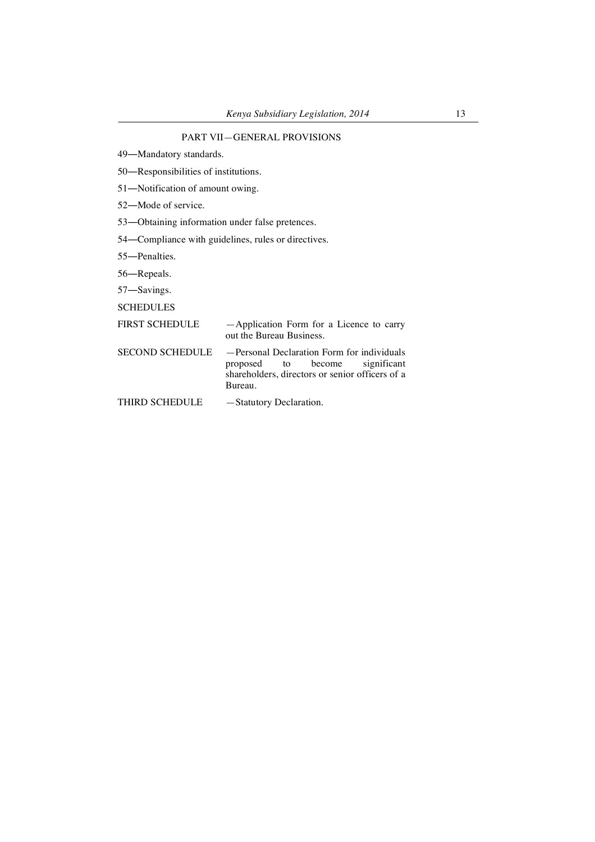49―Mandatory standards.

50―Responsibilities of institutions.

51―Notification of amount owing.

52―Mode of service.

53―Obtaining information under false pretences.

54―Compliance with guidelines, rules or directives.

55―Penalties.

56―Repeals.

57―Savings.

**SCHEDULES** 

# FIRST SCHEDULE — Application Form for a Licence to carry out the Bureau Business.

SECOND SCHEDULE — Personal Declaration Form for individuals<br>proposed to become significant proposed to become significant shareholders, directors or senior officers of a Bureau.

THIRD SCHEDULE -Statutory Declaration.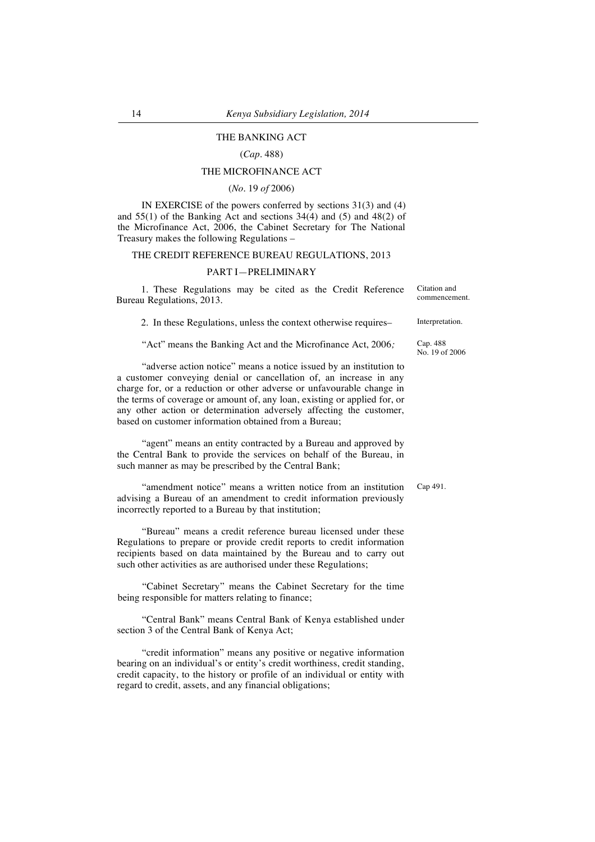# THE BANKING ACT

# (*Cap*. 488)

# THE MICROFINANCE ACT

## (*No*. 19 *of* 2006)

IN EXERCISE of the powers conferred by sections 31(3) and (4) and  $55(1)$  of the Banking Act and sections  $34(4)$  and  $(5)$  and  $48(2)$  of the Microfinance Act, 2006, the Cabinet Secretary for The National Treasury makes the following Regulations –

#### THE CREDIT REFERENCE BUREAU REGULATIONS, 2013

## PART I—PRELIMINARY

1. These Regulations may be cited as the Credit Reference Bureau Regulations, 2013.

2. In these Regulations, unless the context otherwise requires– Interpretation.

"Act" means the Banking Act and the Microfinance Act, 2006*;*

"adverse action notice" means a notice issued by an institution to a customer conveying denial or cancellation of, an increase in any charge for, or a reduction or other adverse or unfavourable change in the terms of coverage or amount of, any loan, existing or applied for, or any other action or determination adversely affecting the customer, based on customer information obtained from a Bureau;

"agent" means an entity contracted by a Bureau and approved by the Central Bank to provide the services on behalf of the Bureau, in such manner as may be prescribed by the Central Bank;

"amendment notice" means a written notice from an institution advising a Bureau of an amendment to credit information previously incorrectly reported to a Bureau by that institution;

"Bureau" means a credit reference bureau licensed under these Regulations to prepare or provide credit reports to credit information recipients based on data maintained by the Bureau and to carry out such other activities as are authorised under these Regulations;

"Cabinet Secretary" means the Cabinet Secretary for the time being responsible for matters relating to finance;

"Central Bank" means Central Bank of Kenya established under section 3 of the Central Bank of Kenya Act;

"credit information" means any positive or negative information bearing on an individual's or entity's credit worthiness, credit standing, credit capacity, to the history or profile of an individual or entity with regard to credit, assets, and any financial obligations;

Citation and commencement.

Cap. 488 No. 19 of 2006

Cap 491.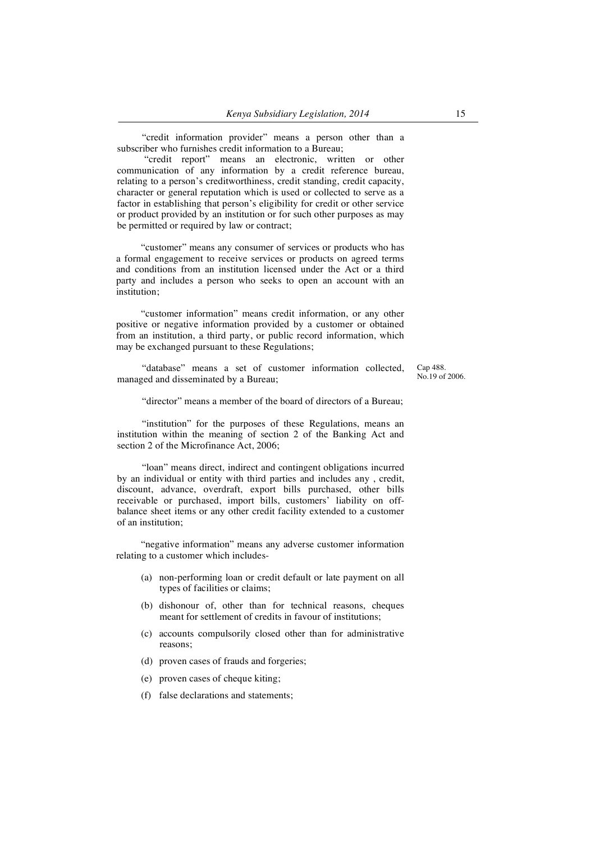"credit information provider" means a person other than a subscriber who furnishes credit information to a Bureau;

"credit report" means an electronic, written or other communication of any information by a credit reference bureau, relating to a person's creditworthiness, credit standing, credit capacity, character or general reputation which is used or collected to serve as a factor in establishing that person's eligibility for credit or other service or product provided by an institution or for such other purposes as may be permitted or required by law or contract;

"customer" means any consumer of services or products who has a formal engagement to receive services or products on agreed terms and conditions from an institution licensed under the Act or a third party and includes a person who seeks to open an account with an institution;

"customer information" means credit information, or any other positive or negative information provided by a customer or obtained from an institution, a third party, or public record information, which may be exchanged pursuant to these Regulations;

"database" means a set of customer information collected, managed and disseminated by a Bureau;

Cap 488. No.19 of 2006.

"director" means a member of the board of directors of a Bureau;

"institution" for the purposes of these Regulations, means an institution within the meaning of section 2 of the Banking Act and section 2 of the Microfinance Act, 2006;

"loan" means direct, indirect and contingent obligations incurred by an individual or entity with third parties and includes any , credit, discount, advance, overdraft, export bills purchased, other bills receivable or purchased, import bills, customers' liability on offbalance sheet items or any other credit facility extended to a customer of an institution;

"negative information" means any adverse customer information relating to a customer which includes-

- (a) non-performing loan or credit default or late payment on all types of facilities or claims;
- (b) dishonour of, other than for technical reasons, cheques meant for settlement of credits in favour of institutions;
- (c) accounts compulsorily closed other than for administrative reasons;
- (d) proven cases of frauds and forgeries;
- (e) proven cases of cheque kiting;
- (f) false declarations and statements;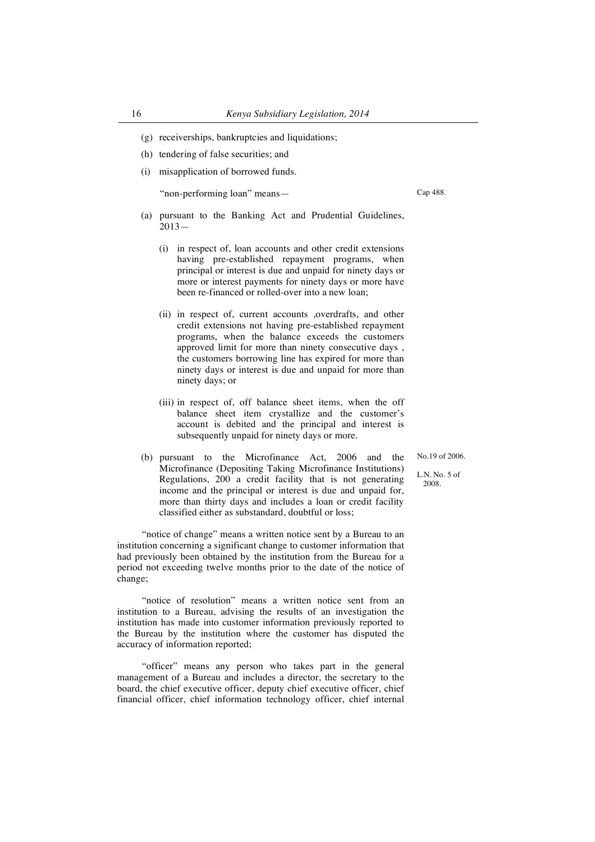- (g) receiverships, bankruptcies and liquidations;
- (h) tendering of false securities; and
- (i) misapplication of borrowed funds.

"non-performing loan" means—

Cap 488.

- (a) pursuant to the Banking Act and Prudential Guidelines, 2013—
	- (i) in respect of, loan accounts and other credit extensions having pre-established repayment programs, when principal or interest is due and unpaid for ninety days or more or interest payments for ninety days or more have been re-financed or rolled-over into a new loan;
	- (ii) in respect of, current accounts ,overdrafts, and other credit extensions not having pre-established repayment programs, when the balance exceeds the customers approved limit for more than ninety consecutive days , the customers borrowing line has expired for more than ninety days or interest is due and unpaid for more than ninety days; or
	- (iii) in respect of, off balance sheet items, when the off balance sheet item crystallize and the customer's account is debited and the principal and interest is subsequently unpaid for ninety days or more.

No.19 of 2006.

L.N. No. 5 of 2008.

Microfinance (Depositing Taking Microfinance Institutions) Regulations, 200 a credit facility that is not generating income and the principal or interest is due and unpaid for, more than thirty days and includes a loan or credit facility classified either as substandard, doubtful or loss;

(b) pursuant to the Microfinance Act, 2006 and the

"notice of change" means a written notice sent by a Bureau to an institution concerning a significant change to customer information that had previously been obtained by the institution from the Bureau for a period not exceeding twelve months prior to the date of the notice of change;

"notice of resolution" means a written notice sent from an institution to a Bureau, advising the results of an investigation the institution has made into customer information previously reported to the Bureau by the institution where the customer has disputed the accuracy of information reported;

"officer" means any person who takes part in the general management of a Bureau and includes a director, the secretary to the board, the chief executive officer, deputy chief executive officer, chief financial officer, chief information technology officer, chief internal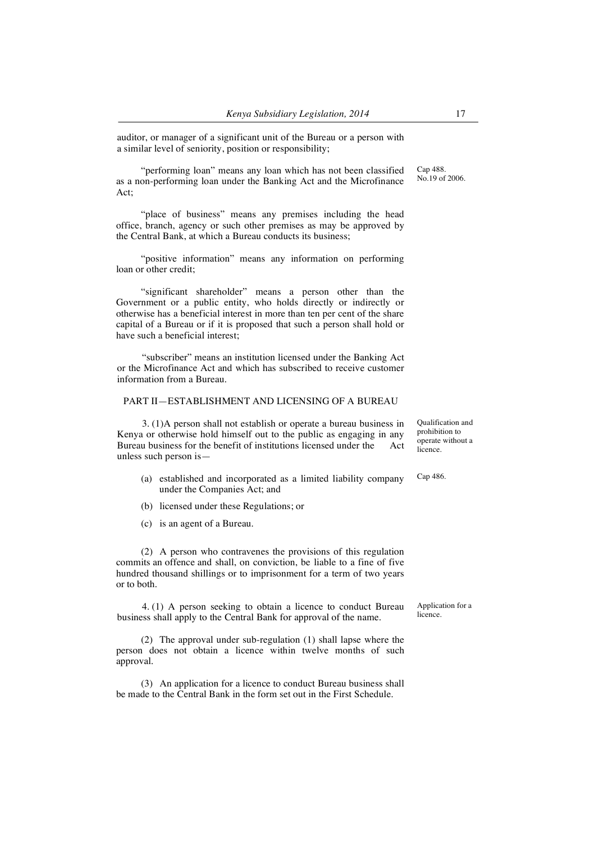auditor, or manager of a significant unit of the Bureau or a person with a similar level of seniority, position or responsibility;

"performing loan" means any loan which has not been classified as a non-performing loan under the Banking Act and the Microfinance Act;

"place of business" means any premises including the head office, branch, agency or such other premises as may be approved by the Central Bank, at which a Bureau conducts its business;

"positive information" means any information on performing loan or other credit;

"significant shareholder" means a person other than the Government or a public entity, who holds directly or indirectly or otherwise has a beneficial interest in more than ten per cent of the share capital of a Bureau or if it is proposed that such a person shall hold or have such a beneficial interest;

"subscriber" means an institution licensed under the Banking Act or the Microfinance Act and which has subscribed to receive customer information from a Bureau.

## PART II—ESTABLISHMENT AND LICENSING OF A BUREAU

3. (1)A person shall not establish or operate a bureau business in Kenya or otherwise hold himself out to the public as engaging in any Bureau business for the benefit of institutions licensed under the Act unless such person is—

- (a) established and incorporated as a limited liability company under the Companies Act; and
- (b) licensed under these Regulations; or
- (c) is an agent of a Bureau.

(2) A person who contravenes the provisions of this regulation commits an offence and shall, on conviction, be liable to a fine of five hundred thousand shillings or to imprisonment for a term of two years or to both.

4. (1) A person seeking to obtain a licence to conduct Bureau business shall apply to the Central Bank for approval of the name.

(2) The approval under sub-regulation (1) shall lapse where the person does not obtain a licence within twelve months of such approval.

(3) An application for a licence to conduct Bureau business shall be made to the Central Bank in the form set out in the First Schedule.

Qualification and prohibition to operate without a licence.

Cap 486.

Application for a licence.

Cap 488. No.19 of 2006.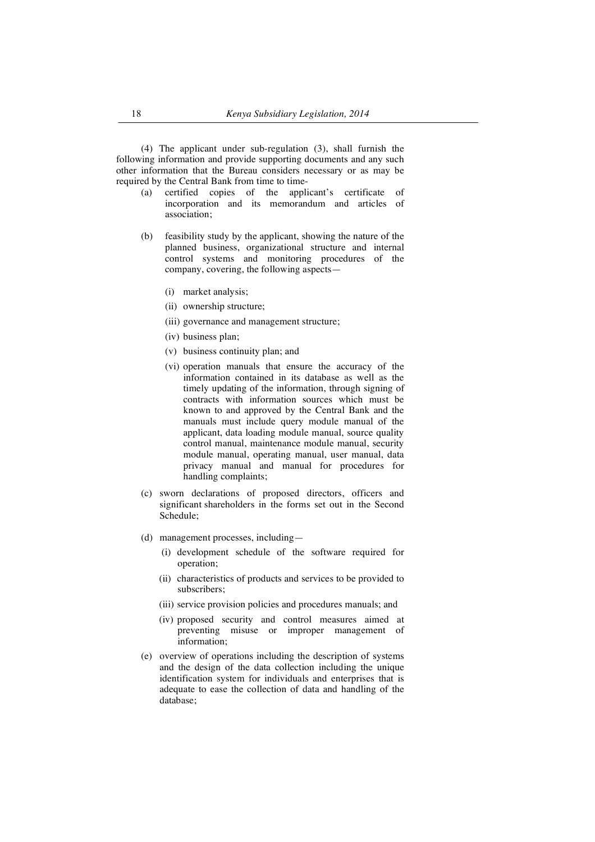(4) The applicant under sub-regulation (3), shall furnish the following information and provide supporting documents and any such other information that the Bureau considers necessary or as may be required by the Central Bank from time to time-

- (a) certified copies of the applicant's certificate of incorporation and its memorandum and articles of association;
- (b) feasibility study by the applicant, showing the nature of the planned business, organizational structure and internal control systems and monitoring procedures of the company, covering, the following aspects—
	- (i) market analysis;
	- (ii) ownership structure;
	- (iii) governance and management structure;
	- (iv) business plan;
	- (v) business continuity plan; and
	- (vi) operation manuals that ensure the accuracy of the information contained in its database as well as the timely updating of the information, through signing of contracts with information sources which must be known to and approved by the Central Bank and the manuals must include query module manual of the applicant, data loading module manual, source quality control manual, maintenance module manual, security module manual, operating manual, user manual, data privacy manual and manual for procedures for handling complaints;
- (c) sworn declarations of proposed directors, officers and significant shareholders in the forms set out in the Second Schedule;
- (d) management processes, including—
	- (i) development schedule of the software required for operation;
	- (ii) characteristics of products and services to be provided to subscribers;
	- (iii) service provision policies and procedures manuals; and
	- (iv) proposed security and control measures aimed at preventing misuse or improper management of information;
- (e) overview of operations including the description of systems and the design of the data collection including the unique identification system for individuals and enterprises that is adequate to ease the collection of data and handling of the database;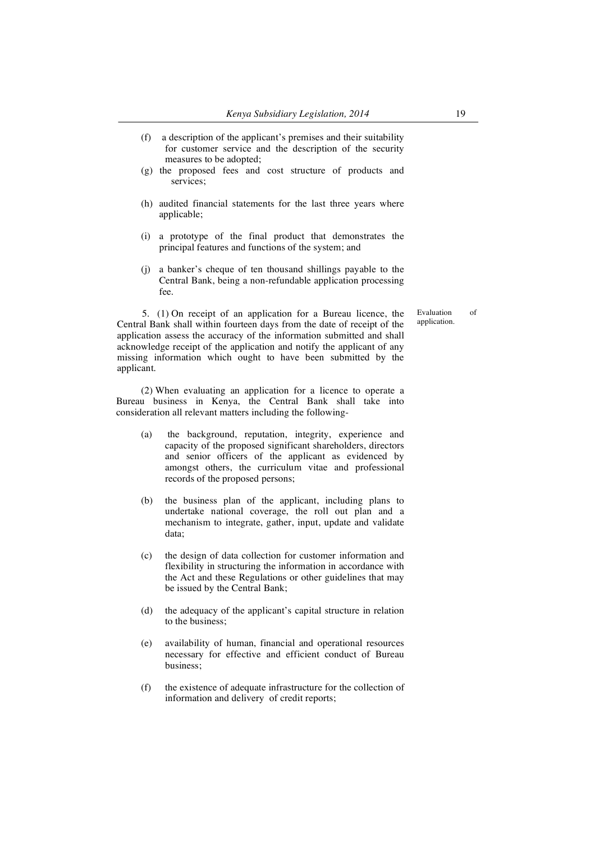- (f) a description of the applicant's premises and their suitability for customer service and the description of the security measures to be adopted;
- (g) the proposed fees and cost structure of products and services;
- (h) audited financial statements for the last three years where applicable;
- (i) a prototype of the final product that demonstrates the principal features and functions of the system; and
- (j) a banker's cheque of ten thousand shillings payable to the Central Bank, being a non-refundable application processing fee.

5. (1) On receipt of an application for a Bureau licence, the Central Bank shall within fourteen days from the date of receipt of the application assess the accuracy of the information submitted and shall acknowledge receipt of the application and notify the applicant of any missing information which ought to have been submitted by the applicant.

(2) When evaluating an application for a licence to operate a Bureau business in Kenya, the Central Bank shall take into consideration all relevant matters including the following-

- (a) the background, reputation, integrity, experience and capacity of the proposed significant shareholders, directors and senior officers of the applicant as evidenced by amongst others, the curriculum vitae and professional records of the proposed persons;
- (b) the business plan of the applicant, including plans to undertake national coverage, the roll out plan and a mechanism to integrate, gather, input, update and validate data;
- (c) the design of data collection for customer information and flexibility in structuring the information in accordance with the Act and these Regulations or other guidelines that may be issued by the Central Bank;
- (d) the adequacy of the applicant's capital structure in relation to the business;
- (e) availability of human, financial and operational resources necessary for effective and efficient conduct of Bureau business;
- (f) the existence of adequate infrastructure for the collection of information and delivery of credit reports;

Evaluation of application.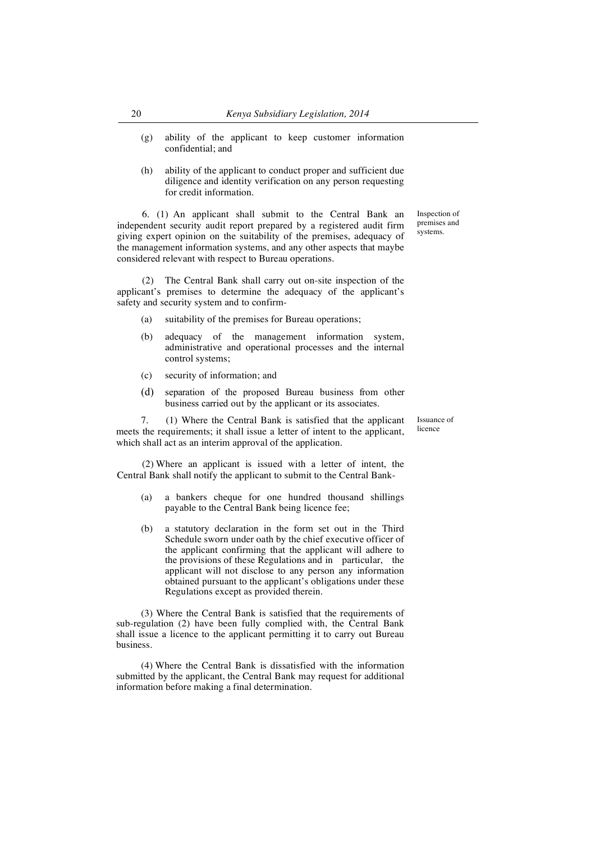- (g) ability of the applicant to keep customer information confidential; and
- (h) ability of the applicant to conduct proper and sufficient due diligence and identity verification on any person requesting for credit information.

6. (1) An applicant shall submit to the Central Bank an independent security audit report prepared by a registered audit firm giving expert opinion on the suitability of the premises, adequacy of the management information systems, and any other aspects that maybe considered relevant with respect to Bureau operations.

(2) The Central Bank shall carry out on-site inspection of the applicant's premises to determine the adequacy of the applicant's safety and security system and to confirm-

- (a) suitability of the premises for Bureau operations;
- (b) adequacy of the management information system, administrative and operational processes and the internal control systems;
- (c) security of information; and
- (d) separation of the proposed Bureau business from other business carried out by the applicant or its associates.

7. (1) Where the Central Bank is satisfied that the applicant meets the requirements; it shall issue a letter of intent to the applicant, which shall act as an interim approval of the application.

(2) Where an applicant is issued with a letter of intent, the Central Bank shall notify the applicant to submit to the Central Bank-

- (a) a bankers cheque for one hundred thousand shillings payable to the Central Bank being licence fee;
- (b) a statutory declaration in the form set out in the Third Schedule sworn under oath by the chief executive officer of the applicant confirming that the applicant will adhere to the provisions of these Regulations and in particular, the applicant will not disclose to any person any information obtained pursuant to the applicant's obligations under these Regulations except as provided therein.

(3) Where the Central Bank is satisfied that the requirements of sub-regulation (2) have been fully complied with, the Central Bank shall issue a licence to the applicant permitting it to carry out Bureau business.

(4) Where the Central Bank is dissatisfied with the information submitted by the applicant, the Central Bank may request for additional information before making a final determination.

Inspection of premises and systems.

Issuance of licence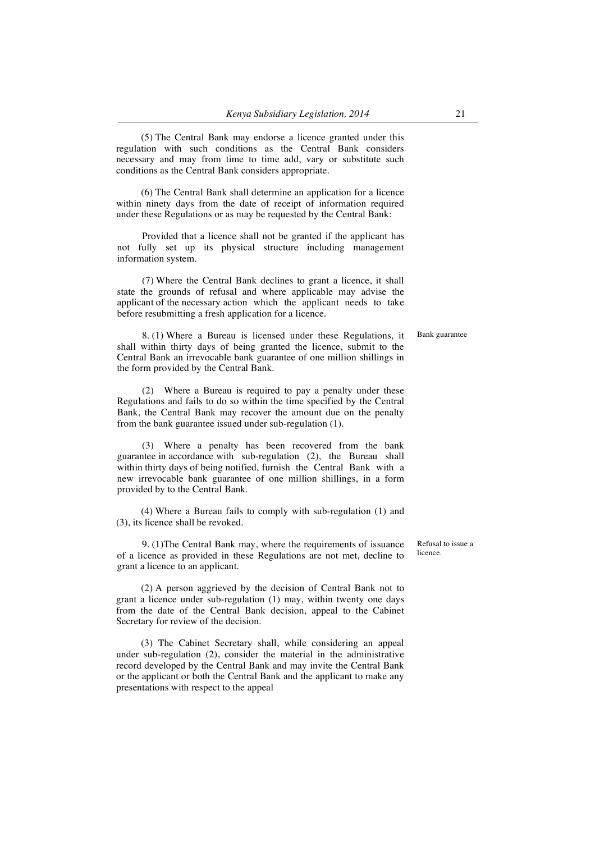(5) The Central Bank may endorse a licence granted under this regulation with such conditions as the Central Bank considers necessary and may from time to time add, vary or substitute such conditions as the Central Bank considers appropriate.

(6) The Central Bank shall determine an application for a licence within ninety days from the date of receipt of information required under these Regulations or as may be requested by the Central Bank:

Provided that a licence shall not be granted if the applicant has not fully set up its physical structure including management information system.

(7) Where the Central Bank declines to grant a licence, it shall state the grounds of refusal and where applicable may advise the applicant of the necessary action which the applicant needs to take before resubmitting a fresh application for a licence.

8. (1) Where a Bureau is licensed under these Regulations, it shall within thirty days of being granted the licence, submit to the Central Bank an irrevocable bank guarantee of one million shillings in the form provided by the Central Bank.

(2) Where a Bureau is required to pay a penalty under these Regulations and fails to do so within the time specified by the Central Bank, the Central Bank may recover the amount due on the penalty from the bank guarantee issued under sub-regulation (1).

(3) Where a penalty has been recovered from the bank guarantee in accordance with sub-regulation (2), the Bureau shall within thirty days of being notified, furnish the Central Bank with a new irrevocable bank guarantee of one million shillings, in a form provided by to the Central Bank.

(4) Where a Bureau fails to comply with sub-regulation (1) and (3), its licence shall be revoked.

9. (1)The Central Bank may, where the requirements of issuance of a licence as provided in these Regulations are not met, decline to grant a licence to an applicant.

(2) A person aggrieved by the decision of Central Bank not to grant a licence under sub-regulation (1) may, within twenty one days from the date of the Central Bank decision, appeal to the Cabinet Secretary for review of the decision.

(3) The Cabinet Secretary shall, while considering an appeal under sub-regulation (2), consider the material in the administrative record developed by the Central Bank and may invite the Central Bank or the applicant or both the Central Bank and the applicant to make any presentations with respect to the appeal

Refusal to issue a licence.

Bank guarantee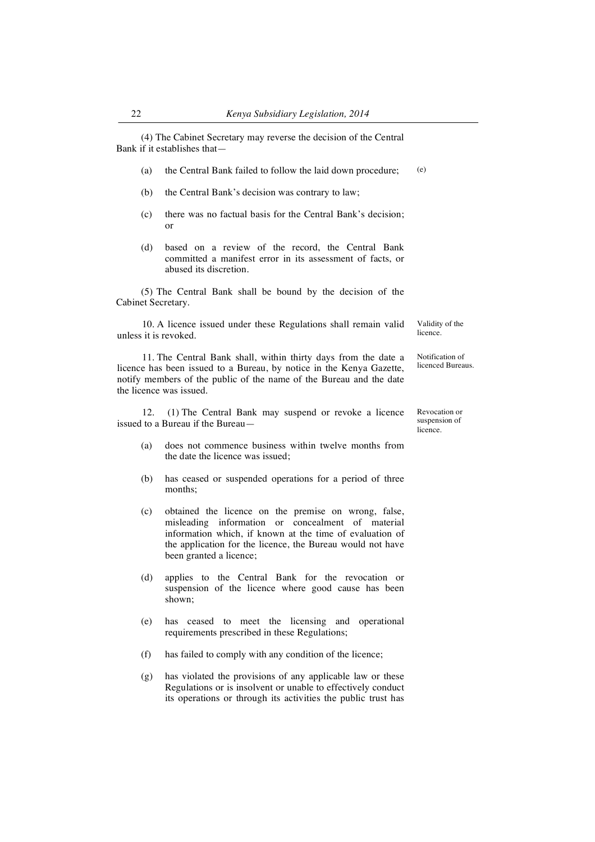(4) The Cabinet Secretary may reverse the decision of the Central Bank if it establishes that—

- (a) the Central Bank failed to follow the laid down procedure; (e)
- (b) the Central Bank's decision was contrary to law;
- (c) there was no factual basis for the Central Bank's decision; or
- (d) based on a review of the record, the Central Bank committed a manifest error in its assessment of facts, or abused its discretion.

(5) The Central Bank shall be bound by the decision of the Cabinet Secretary.

10. A licence issued under these Regulations shall remain valid unless it is revoked. Validity of the licence.

> Notification of licenced Bureaus.

> > Revocation or suspension of licence.

11. The Central Bank shall, within thirty days from the date a licence has been issued to a Bureau, by notice in the Kenya Gazette, notify members of the public of the name of the Bureau and the date the licence was issued.

12. (1) The Central Bank may suspend or revoke a licence issued to a Bureau if the Bureau—

- (a) does not commence business within twelve months from the date the licence was issued;
- (b) has ceased or suspended operations for a period of three months;
- (c) obtained the licence on the premise on wrong, false, misleading information or concealment of material information which, if known at the time of evaluation of the application for the licence, the Bureau would not have been granted a licence;
- (d) applies to the Central Bank for the revocation or suspension of the licence where good cause has been shown;
- (e) has ceased to meet the licensing and operational requirements prescribed in these Regulations;
- (f) has failed to comply with any condition of the licence;
- (g) has violated the provisions of any applicable law or these Regulations or is insolvent or unable to effectively conduct its operations or through its activities the public trust has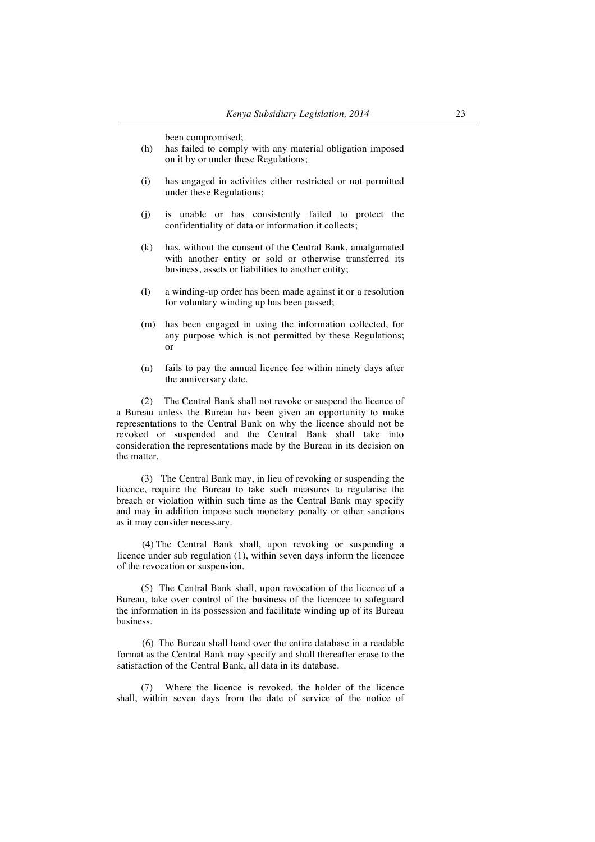been compromised;

- (h) has failed to comply with any material obligation imposed on it by or under these Regulations;
- (i) has engaged in activities either restricted or not permitted under these Regulations;
- (j) is unable or has consistently failed to protect the confidentiality of data or information it collects;
- (k) has, without the consent of the Central Bank, amalgamated with another entity or sold or otherwise transferred its business, assets or liabilities to another entity;
- (l) a winding-up order has been made against it or a resolution for voluntary winding up has been passed;
- (m) has been engaged in using the information collected, for any purpose which is not permitted by these Regulations; or
- (n) fails to pay the annual licence fee within ninety days after the anniversary date.

(2) The Central Bank shall not revoke or suspend the licence of a Bureau unless the Bureau has been given an opportunity to make representations to the Central Bank on why the licence should not be revoked or suspended and the Central Bank shall take into consideration the representations made by the Bureau in its decision on the matter.

(3) The Central Bank may, in lieu of revoking or suspending the licence, require the Bureau to take such measures to regularise the breach or violation within such time as the Central Bank may specify and may in addition impose such monetary penalty or other sanctions as it may consider necessary.

(4) The Central Bank shall, upon revoking or suspending a licence under sub regulation (1), within seven days inform the licencee of the revocation or suspension.

(5) The Central Bank shall, upon revocation of the licence of a Bureau, take over control of the business of the licencee to safeguard the information in its possession and facilitate winding up of its Bureau business.

(6) The Bureau shall hand over the entire database in a readable format as the Central Bank may specify and shall thereafter erase to the satisfaction of the Central Bank, all data in its database.

(7) Where the licence is revoked, the holder of the licence shall, within seven days from the date of service of the notice of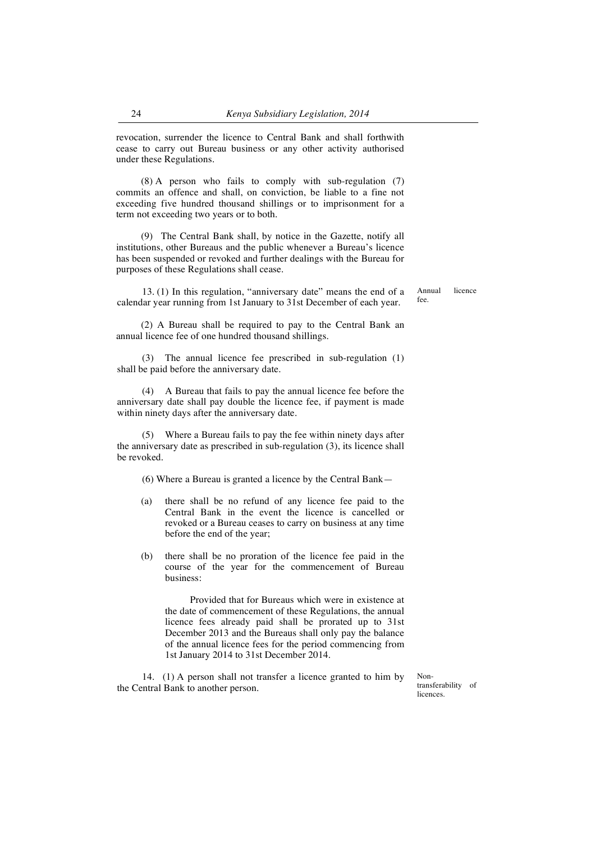revocation, surrender the licence to Central Bank and shall forthwith cease to carry out Bureau business or any other activity authorised under these Regulations.

(8) A person who fails to comply with sub-regulation (7) commits an offence and shall, on conviction, be liable to a fine not exceeding five hundred thousand shillings or to imprisonment for a term not exceeding two years or to both.

(9) The Central Bank shall, by notice in the Gazette, notify all institutions, other Bureaus and the public whenever a Bureau's licence has been suspended or revoked and further dealings with the Bureau for purposes of these Regulations shall cease.

13. (1) In this regulation, "anniversary date" means the end of a calendar year running from 1st January to 31st December of each year.

Annual licence fee.

(2) A Bureau shall be required to pay to the Central Bank an annual licence fee of one hundred thousand shillings.

(3) The annual licence fee prescribed in sub-regulation (1) shall be paid before the anniversary date.

(4) A Bureau that fails to pay the annual licence fee before the anniversary date shall pay double the licence fee, if payment is made within ninety days after the anniversary date.

(5) Where a Bureau fails to pay the fee within ninety days after the anniversary date as prescribed in sub-regulation (3), its licence shall be revoked.

(6) Where a Bureau is granted a licence by the Central Bank—

- (a) there shall be no refund of any licence fee paid to the Central Bank in the event the licence is cancelled or revoked or a Bureau ceases to carry on business at any time before the end of the year;
- (b) there shall be no proration of the licence fee paid in the course of the year for the commencement of Bureau business:

Provided that for Bureaus which were in existence at the date of commencement of these Regulations, the annual licence fees already paid shall be prorated up to 31st December 2013 and the Bureaus shall only pay the balance of the annual licence fees for the period commencing from 1st January 2014 to 31st December 2014.

14. (1) A person shall not transfer a licence granted to him by the Central Bank to another person.

Nontransferability of licences.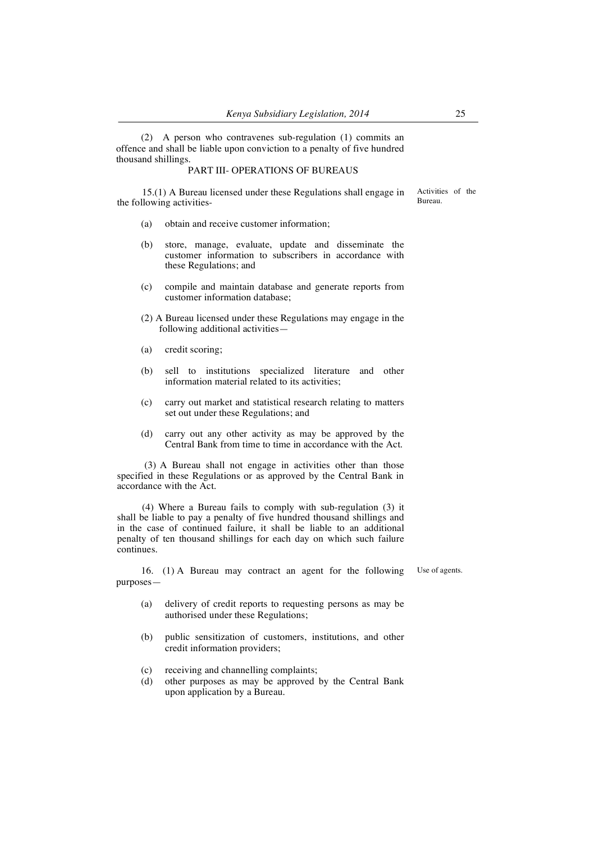(2) A person who contravenes sub-regulation (1) commits an offence and shall be liable upon conviction to a penalty of five hundred thousand shillings.

### PART III- OPERATIONS OF BUREAUS

15.(1) A Bureau licensed under these Regulations shall engage in the following activities- Activities of the Bureau.

- (a) obtain and receive customer information;
- (b) store, manage, evaluate, update and disseminate the customer information to subscribers in accordance with these Regulations; and
- (c) compile and maintain database and generate reports from customer information database;
- (2) A Bureau licensed under these Regulations may engage in the following additional activities—
- (a) credit scoring;
- (b) sell to institutions specialized literature and other information material related to its activities;
- (c) carry out market and statistical research relating to matters set out under these Regulations; and
- (d) carry out any other activity as may be approved by the Central Bank from time to time in accordance with the Act.

(3) A Bureau shall not engage in activities other than those specified in these Regulations or as approved by the Central Bank in accordance with the Act.

(4) Where a Bureau fails to comply with sub-regulation (3) it shall be liable to pay a penalty of five hundred thousand shillings and in the case of continued failure, it shall be liable to an additional penalty of ten thousand shillings for each day on which such failure continues.

16. (1) A Bureau may contract an agent for the following purposes—

Use of agents.

- (a) delivery of credit reports to requesting persons as may be authorised under these Regulations;
- (b) public sensitization of customers, institutions, and other credit information providers;
- (c) receiving and channelling complaints;
- (d) other purposes as may be approved by the Central Bank upon application by a Bureau.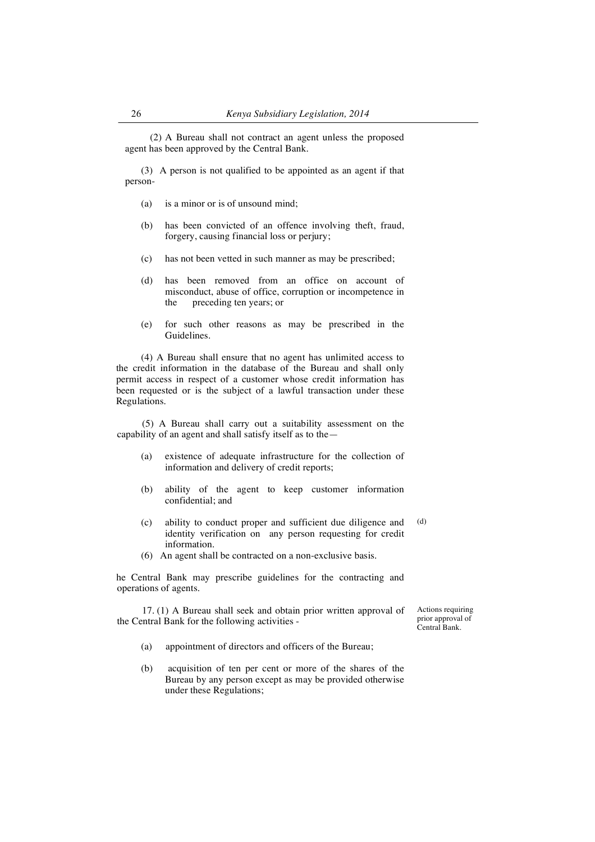(2) A Bureau shall not contract an agent unless the proposed agent has been approved by the Central Bank.

(3) A person is not qualified to be appointed as an agent if that person-

- (a) is a minor or is of unsound mind;
- (b) has been convicted of an offence involving theft, fraud, forgery, causing financial loss or perjury;
- (c) has not been vetted in such manner as may be prescribed;
- (d) has been removed from an office on account of misconduct, abuse of office, corruption or incompetence in the preceding ten years; or
- (e) for such other reasons as may be prescribed in the Guidelines.

(4) A Bureau shall ensure that no agent has unlimited access to the credit information in the database of the Bureau and shall only permit access in respect of a customer whose credit information has been requested or is the subject of a lawful transaction under these Regulations.

(5) A Bureau shall carry out a suitability assessment on the capability of an agent and shall satisfy itself as to the—

- (a) existence of adequate infrastructure for the collection of information and delivery of credit reports;
- (b) ability of the agent to keep customer information confidential; and
- (c) ability to conduct proper and sufficient due diligence and identity verification on any person requesting for credit information. (d)
- (6) An agent shall be contracted on a non-exclusive basis.

he Central Bank may prescribe guidelines for the contracting and operations of agents.

17. (1) A Bureau shall seek and obtain prior written approval of the Central Bank for the following activities -

Actions requiring prior approval of Central Bank.

- (a) appointment of directors and officers of the Bureau;
- (b) acquisition of ten per cent or more of the shares of the Bureau by any person except as may be provided otherwise under these Regulations;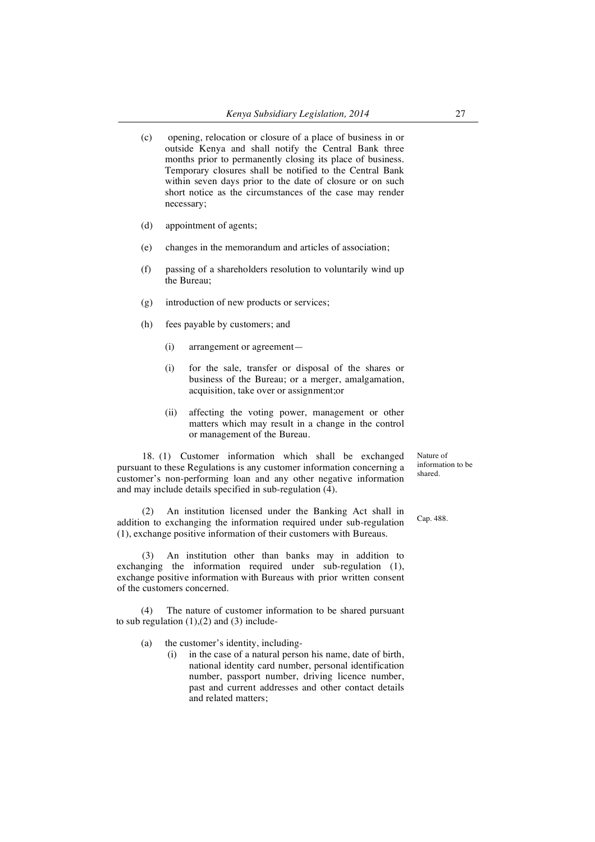- (c) opening, relocation or closure of a place of business in or outside Kenya and shall notify the Central Bank three months prior to permanently closing its place of business. Temporary closures shall be notified to the Central Bank within seven days prior to the date of closure or on such short notice as the circumstances of the case may render necessary;
- (d) appointment of agents;
- (e) changes in the memorandum and articles of association;
- (f) passing of a shareholders resolution to voluntarily wind up the Bureau;
- (g) introduction of new products or services;
- (h) fees payable by customers; and
	- (i) arrangement or agreement—
	- (i) for the sale, transfer or disposal of the shares or business of the Bureau; or a merger, amalgamation, acquisition, take over or assignment;or
	- (ii) affecting the voting power, management or other matters which may result in a change in the control or management of the Bureau.

18. (1) Customer information which shall be exchanged pursuant to these Regulations is any customer information concerning a customer's non-performing loan and any other negative information and may include details specified in sub-regulation (4).

(2) An institution licensed under the Banking Act shall in addition to exchanging the information required under sub-regulation (1), exchange positive information of their customers with Bureaus. Cap. 488.

(3) An institution other than banks may in addition to exchanging the information required under sub-regulation (1), exchange positive information with Bureaus with prior written consent of the customers concerned.

(4) The nature of customer information to be shared pursuant to sub regulation  $(1)$ , $(2)$  and  $(3)$  include-

- (a) the customer's identity, including-
	- (i) in the case of a natural person his name, date of birth, national identity card number, personal identification number, passport number, driving licence number, past and current addresses and other contact details and related matters;

Nature of information to be shared.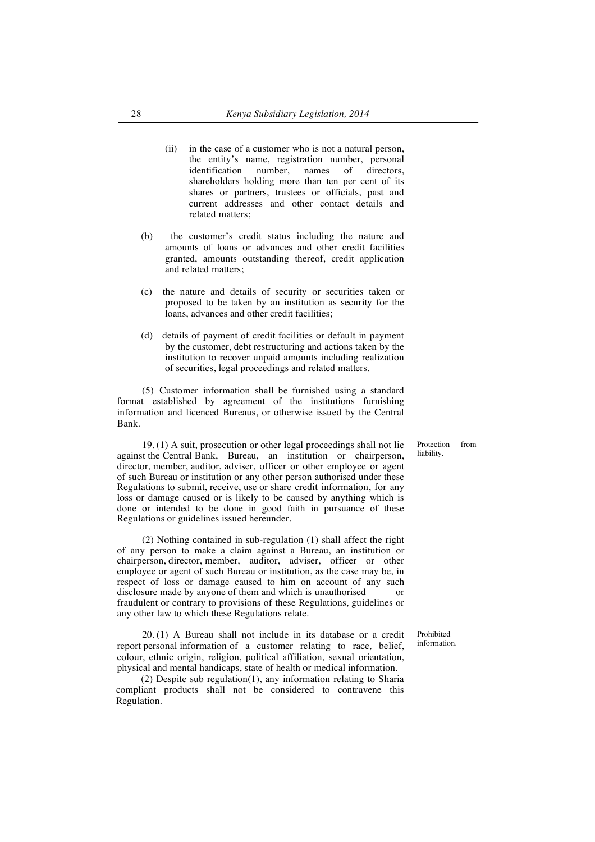- (ii) in the case of a customer who is not a natural person, the entity's name, registration number, personal identification number, names of directors, shareholders holding more than ten per cent of its shares or partners, trustees or officials, past and current addresses and other contact details and related matters;
- (b) the customer's credit status including the nature and amounts of loans or advances and other credit facilities granted, amounts outstanding thereof, credit application and related matters;
- (c) the nature and details of security or securities taken or proposed to be taken by an institution as security for the loans, advances and other credit facilities;
- (d) details of payment of credit facilities or default in payment by the customer, debt restructuring and actions taken by the institution to recover unpaid amounts including realization of securities, legal proceedings and related matters.

(5) Customer information shall be furnished using a standard format established by agreement of the institutions furnishing information and licenced Bureaus, or otherwise issued by the Central Bank.

19. (1) A suit, prosecution or other legal proceedings shall not lie against the Central Bank, Bureau, an institution or chairperson, director, member, auditor, adviser, officer or other employee or agent of such Bureau or institution or any other person authorised under these Regulations to submit, receive, use or share credit information, for any loss or damage caused or is likely to be caused by anything which is done or intended to be done in good faith in pursuance of these Regulations or guidelines issued hereunder.

(2) Nothing contained in sub-regulation (1) shall affect the right of any person to make a claim against a Bureau, an institution or chairperson, director, member, auditor, adviser, officer or other employee or agent of such Bureau or institution, as the case may be, in respect of loss or damage caused to him on account of any such disclosure made by anyone of them and which is unauthorised or fraudulent or contrary to provisions of these Regulations, guidelines or any other law to which these Regulations relate.

20. (1) A Bureau shall not include in its database or a credit report personal information of a customer relating to race, belief, colour, ethnic origin, religion, political affiliation, sexual orientation, physical and mental handicaps, state of health or medical information.

(2) Despite sub regulation(1), any information relating to Sharia compliant products shall not be considered to contravene this Regulation.

Protection from liability.

Prohibited information.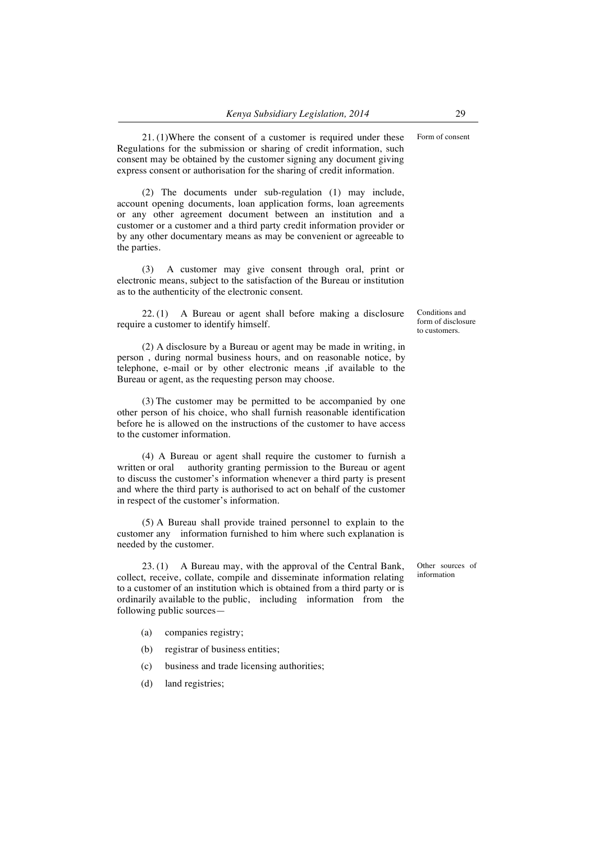21. (1)Where the consent of a customer is required under these Regulations for the submission or sharing of credit information, such consent may be obtained by the customer signing any document giving express consent or authorisation for the sharing of credit information.

(2) The documents under sub-regulation (1) may include, account opening documents, loan application forms, loan agreements or any other agreement document between an institution and a customer or a customer and a third party credit information provider or by any other documentary means as may be convenient or agreeable to the parties.

(3) A customer may give consent through oral, print or electronic means, subject to the satisfaction of the Bureau or institution as to the authenticity of the electronic consent.

22. (1) A Bureau or agent shall before making a disclosure require a customer to identify himself.

(2) A disclosure by a Bureau or agent may be made in writing, in person , during normal business hours, and on reasonable notice, by telephone, e-mail or by other electronic means ,if available to the Bureau or agent, as the requesting person may choose.

(3) The customer may be permitted to be accompanied by one other person of his choice, who shall furnish reasonable identification before he is allowed on the instructions of the customer to have access to the customer information.

(4) A Bureau or agent shall require the customer to furnish a written or oral authority granting permission to the Bureau or agent to discuss the customer's information whenever a third party is present and where the third party is authorised to act on behalf of the customer in respect of the customer's information.

(5) A Bureau shall provide trained personnel to explain to the customer any information furnished to him where such explanation is needed by the customer.

23. (1) A Bureau may, with the approval of the Central Bank, collect, receive, collate, compile and disseminate information relating to a customer of an institution which is obtained from a third party or is ordinarily available to the public, including information from the following public sources—

- (a) companies registry;
- (b) registrar of business entities;
- (c) business and trade licensing authorities;
- (d) land registries;

Form of consent

Conditions and form of disclosure to customers.

Other sources of information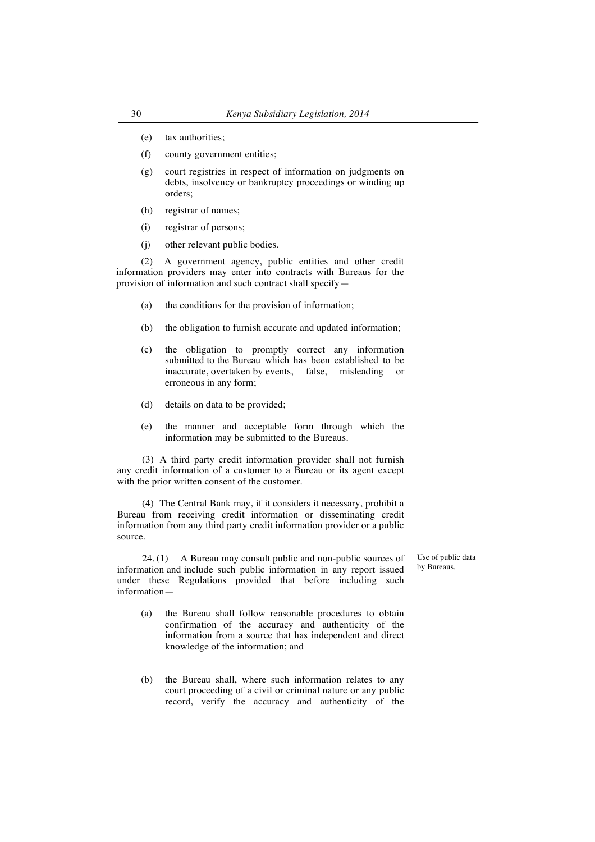- (e) tax authorities;
- (f) county government entities;
- (g) court registries in respect of information on judgments on debts, insolvency or bankruptcy proceedings or winding up orders;
- (h) registrar of names;
- (i) registrar of persons;
- (j) other relevant public bodies.

(2) A government agency, public entities and other credit information providers may enter into contracts with Bureaus for the provision of information and such contract shall specify—

- (a) the conditions for the provision of information;
- (b) the obligation to furnish accurate and updated information;
- (c) the obligation to promptly correct any information submitted to the Bureau which has been established to be inaccurate, overtaken by events, false, misleading or erroneous in any form;
- (d) details on data to be provided;
- (e) the manner and acceptable form through which the information may be submitted to the Bureaus.

(3) A third party credit information provider shall not furnish any credit information of a customer to a Bureau or its agent except with the prior written consent of the customer.

(4) The Central Bank may, if it considers it necessary, prohibit a Bureau from receiving credit information or disseminating credit information from any third party credit information provider or a public source.

24. (1) A Bureau may consult public and non-public sources of information and include such public information in any report issued under these Regulations provided that before including such information—

- (a) the Bureau shall follow reasonable procedures to obtain confirmation of the accuracy and authenticity of the information from a source that has independent and direct knowledge of the information; and
- (b) the Bureau shall, where such information relates to any court proceeding of a civil or criminal nature or any public record, verify the accuracy and authenticity of the

Use of public data by Bureaus.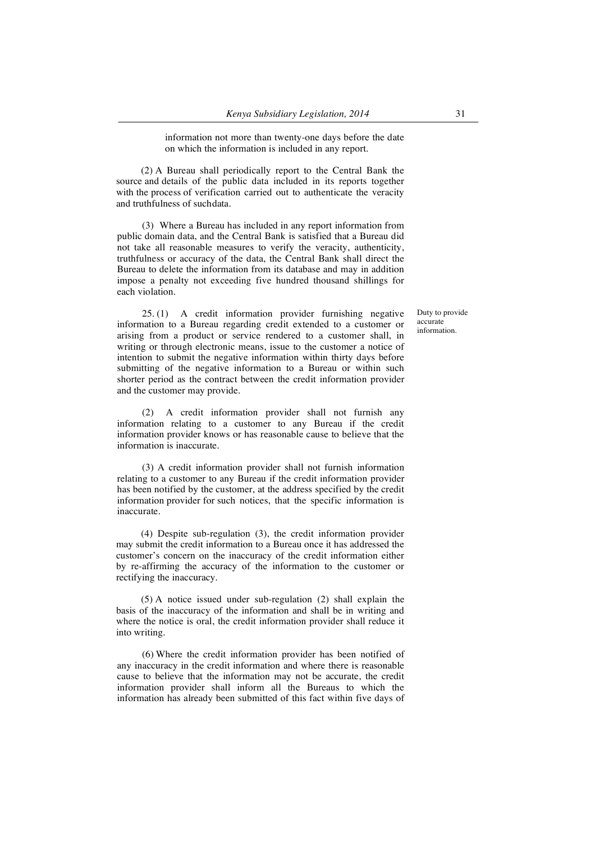information not more than twenty-one days before the date on which the information is included in any report.

(2) A Bureau shall periodically report to the Central Bank the source and details of the public data included in its reports together with the process of verification carried out to authenticate the veracity and truthfulness of suchdata.

(3) Where a Bureau has included in any report information from public domain data, and the Central Bank is satisfied that a Bureau did not take all reasonable measures to verify the veracity, authenticity, truthfulness or accuracy of the data, the Central Bank shall direct the Bureau to delete the information from its database and may in addition impose a penalty not exceeding five hundred thousand shillings for each violation.

25. (1) A credit information provider furnishing negative information to a Bureau regarding credit extended to a customer or arising from a product or service rendered to a customer shall, in writing or through electronic means, issue to the customer a notice of intention to submit the negative information within thirty days before submitting of the negative information to a Bureau or within such shorter period as the contract between the credit information provider and the customer may provide.

(2) A credit information provider shall not furnish any information relating to a customer to any Bureau if the credit information provider knows or has reasonable cause to believe that the information is inaccurate.

(3) A credit information provider shall not furnish information relating to a customer to any Bureau if the credit information provider has been notified by the customer, at the address specified by the credit information provider for such notices, that the specific information is inaccurate.

(4) Despite sub-regulation (3), the credit information provider may submit the credit information to a Bureau once it has addressed the customer's concern on the inaccuracy of the credit information either by re-affirming the accuracy of the information to the customer or rectifying the inaccuracy.

(5) A notice issued under sub-regulation (2) shall explain the basis of the inaccuracy of the information and shall be in writing and where the notice is oral, the credit information provider shall reduce it into writing.

(6) Where the credit information provider has been notified of any inaccuracy in the credit information and where there is reasonable cause to believe that the information may not be accurate, the credit information provider shall inform all the Bureaus to which the information has already been submitted of this fact within five days of Duty to provide accurate information.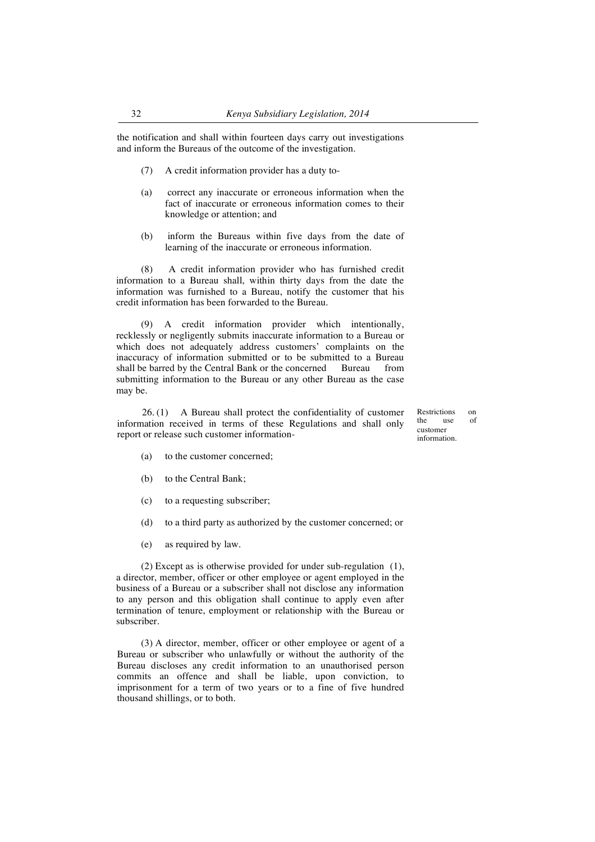the notification and shall within fourteen days carry out investigations and inform the Bureaus of the outcome of the investigation.

- (7) A credit information provider has a duty to-
- (a) correct any inaccurate or erroneous information when the fact of inaccurate or erroneous information comes to their knowledge or attention; and
- (b) inform the Bureaus within five days from the date of learning of the inaccurate or erroneous information.

(8) A credit information provider who has furnished credit information to a Bureau shall, within thirty days from the date the information was furnished to a Bureau, notify the customer that his credit information has been forwarded to the Bureau.

(9) A credit information provider which intentionally, recklessly or negligently submits inaccurate information to a Bureau or which does not adequately address customers' complaints on the inaccuracy of information submitted or to be submitted to a Bureau shall be barred by the Central Bank or the concerned Bureau from submitting information to the Bureau or any other Bureau as the case may be.

26. (1) A Bureau shall protect the confidentiality of customer information received in terms of these Regulations and shall only report or release such customer informationRestrictions on<br>the use of the use customer information.

- (a) to the customer concerned;
- (b) to the Central Bank:
- (c) to a requesting subscriber;
- (d) to a third party as authorized by the customer concerned; or
- (e) as required by law.

(2) Except as is otherwise provided for under sub-regulation (1), a director, member, officer or other employee or agent employed in the business of a Bureau or a subscriber shall not disclose any information to any person and this obligation shall continue to apply even after termination of tenure, employment or relationship with the Bureau or subscriber.

(3) A director, member, officer or other employee or agent of a Bureau or subscriber who unlawfully or without the authority of the Bureau discloses any credit information to an unauthorised person commits an offence and shall be liable, upon conviction, to imprisonment for a term of two years or to a fine of five hundred thousand shillings, or to both.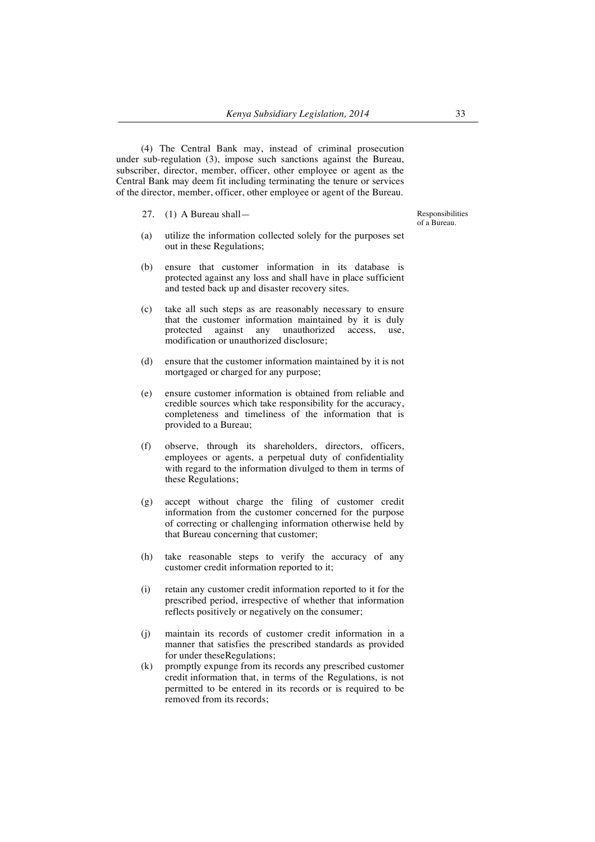(4) The Central Bank may, instead of criminal prosecution under sub-regulation (3), impose such sanctions against the Bureau, subscriber, director, member, officer, other employee or agent as the Central Bank may deem fit including terminating the tenure or services of the director, member, officer, other employee or agent of the Bureau.

- 27. (1) A Bureau shall—
- (a) utilize the information collected solely for the purposes set out in these Regulations;
- (b) ensure that customer information in its database is protected against any loss and shall have in place sufficient and tested back up and disaster recovery sites.
- (c) take all such steps as are reasonably necessary to ensure that the customer information maintained by it is duly protected against any unauthorized access, use, modification or unauthorized disclosure;
- (d) ensure that the customer information maintained by it is not mortgaged or charged for any purpose;
- (e) ensure customer information is obtained from reliable and credible sources which take responsibility for the accuracy, completeness and timeliness of the information that is provided to a Bureau;
- (f) observe, through its shareholders, directors, officers, employees or agents, a perpetual duty of confidentiality with regard to the information divulged to them in terms of these Regulations;
- (g) accept without charge the filing of customer credit information from the customer concerned for the purpose of correcting or challenging information otherwise held by that Bureau concerning that customer;
- (h) take reasonable steps to verify the accuracy of any customer credit information reported to it;
- (i) retain any customer credit information reported to it for the prescribed period, irrespective of whether that information reflects positively or negatively on the consumer;
- (j) maintain its records of customer credit information in a manner that satisfies the prescribed standards as provided for under theseRegulations;
- (k) promptly expunge from its records any prescribed customer credit information that, in terms of the Regulations, is not permitted to be entered in its records or is required to be removed from its records;

Responsibilities of a Bureau.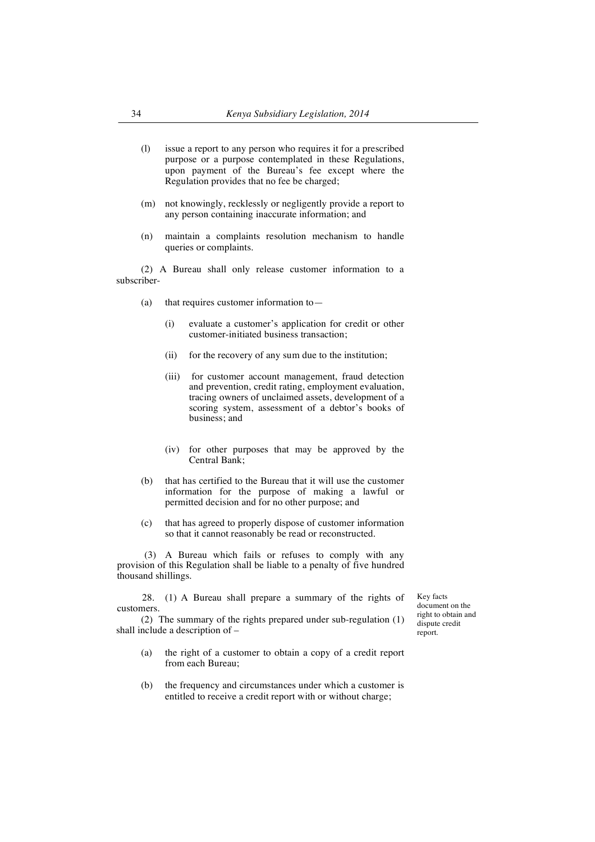- (l) issue a report to any person who requires it for a prescribed purpose or a purpose contemplated in these Regulations, upon payment of the Bureau's fee except where the Regulation provides that no fee be charged;
- (m) not knowingly, recklessly or negligently provide a report to any person containing inaccurate information; and
- (n) maintain a complaints resolution mechanism to handle queries or complaints.

(2) A Bureau shall only release customer information to a subscriber-

- (a) that requires customer information to—
	- (i) evaluate a customer's application for credit or other customer-initiated business transaction;
	- (ii) for the recovery of any sum due to the institution;
	- (iii) for customer account management, fraud detection and prevention, credit rating, employment evaluation, tracing owners of unclaimed assets, development of a scoring system, assessment of a debtor's books of business; and
	- (iv) for other purposes that may be approved by the Central Bank;
- (b) that has certified to the Bureau that it will use the customer information for the purpose of making a lawful or permitted decision and for no other purpose; and
- (c) that has agreed to properly dispose of customer information so that it cannot reasonably be read or reconstructed.

(3) A Bureau which fails or refuses to comply with any provision of this Regulation shall be liable to a penalty of five hundred thousand shillings.

28. (1) A Bureau shall prepare a summary of the rights of customers.

(2) The summary of the rights prepared under sub-regulation (1) shall include a description of –

report.

- (a) the right of a customer to obtain a copy of a credit report from each Bureau;
- (b) the frequency and circumstances under which a customer is entitled to receive a credit report with or without charge;

Key facts document on the right to obtain and dispute credit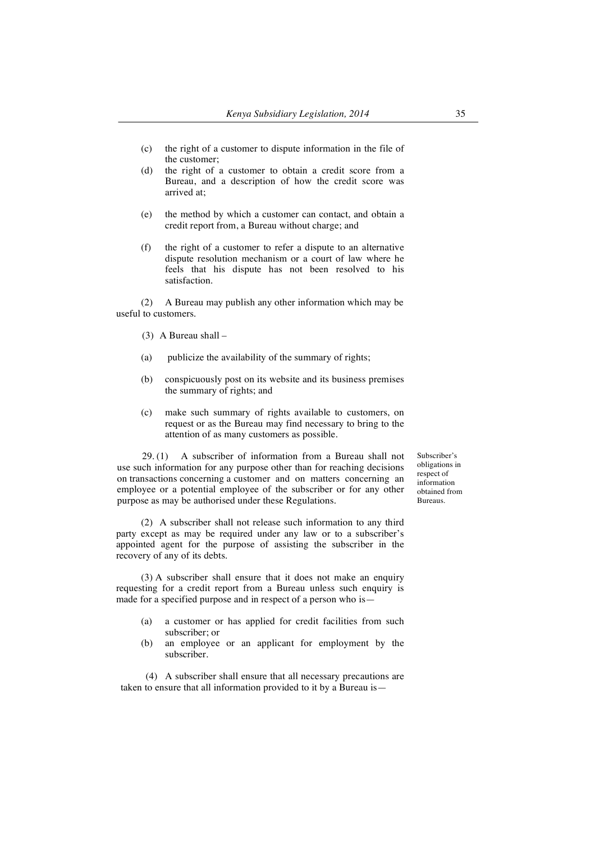- (c) the right of a customer to dispute information in the file of the customer;
- (d) the right of a customer to obtain a credit score from a Bureau, and a description of how the credit score was arrived at;
- (e) the method by which a customer can contact, and obtain a credit report from, a Bureau without charge; and
- (f) the right of a customer to refer a dispute to an alternative dispute resolution mechanism or a court of law where he feels that his dispute has not been resolved to his satisfaction.

(2) A Bureau may publish any other information which may be useful to customers.

(3) A Bureau shall –

- (a) publicize the availability of the summary of rights;
- (b) conspicuously post on its website and its business premises the summary of rights; and
- (c) make such summary of rights available to customers, on request or as the Bureau may find necessary to bring to the attention of as many customers as possible.

29. (1) A subscriber of information from a Bureau shall not use such information for any purpose other than for reaching decisions on transactions concerning a customer and on matters concerning an employee or a potential employee of the subscriber or for any other purpose as may be authorised under these Regulations.

(2) A subscriber shall not release such information to any third party except as may be required under any law or to a subscriber's appointed agent for the purpose of assisting the subscriber in the recovery of any of its debts.

(3) A subscriber shall ensure that it does not make an enquiry requesting for a credit report from a Bureau unless such enquiry is made for a specified purpose and in respect of a person who is—

- (a) a customer or has applied for credit facilities from such subscriber; or
- (b) an employee or an applicant for employment by the subscriber.

(4) A subscriber shall ensure that all necessary precautions are taken to ensure that all information provided to it by a Bureau isSubscriber's obligations in respect of information obtained from Bureaus.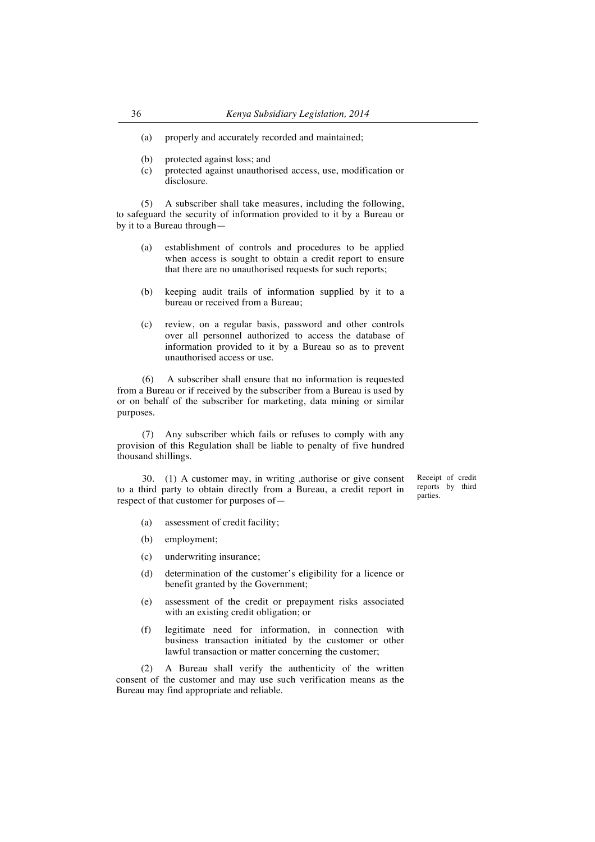- (a) properly and accurately recorded and maintained;
- (b) protected against loss; and
- (c) protected against unauthorised access, use, modification or disclosure.

(5) A subscriber shall take measures, including the following, to safeguard the security of information provided to it by a Bureau or by it to a Bureau through—

- (a) establishment of controls and procedures to be applied when access is sought to obtain a credit report to ensure that there are no unauthorised requests for such reports;
- (b) keeping audit trails of information supplied by it to a bureau or received from a Bureau;
- (c) review, on a regular basis, password and other controls over all personnel authorized to access the database of information provided to it by a Bureau so as to prevent unauthorised access or use.

(6) A subscriber shall ensure that no information is requested from a Bureau or if received by the subscriber from a Bureau is used by or on behalf of the subscriber for marketing, data mining or similar purposes.

(7) Any subscriber which fails or refuses to comply with any provision of this Regulation shall be liable to penalty of five hundred thousand shillings.

30. (1) A customer may, in writing ,authorise or give consent to a third party to obtain directly from a Bureau, a credit report in respect of that customer for purposes ofReceipt of credit reports by third parties.

- (a) assessment of credit facility;
- (b) employment;
- (c) underwriting insurance;
- (d) determination of the customer's eligibility for a licence or benefit granted by the Government;
- (e) assessment of the credit or prepayment risks associated with an existing credit obligation; or
- (f) legitimate need for information, in connection with business transaction initiated by the customer or other lawful transaction or matter concerning the customer;

(2) A Bureau shall verify the authenticity of the written consent of the customer and may use such verification means as the Bureau may find appropriate and reliable.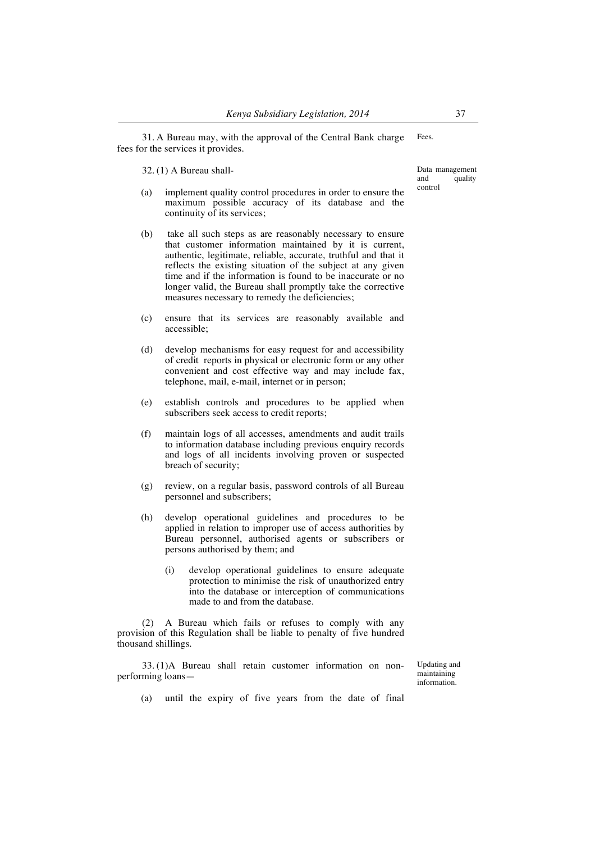31. A Bureau may, with the approval of the Central Bank charge fees for the services it provides. Fees.

32. (1) A Bureau shall-

- (a) implement quality control procedures in order to ensure the maximum possible accuracy of its database and the continuity of its services;
- (b) take all such steps as are reasonably necessary to ensure that customer information maintained by it is current, authentic, legitimate, reliable, accurate, truthful and that it reflects the existing situation of the subject at any given time and if the information is found to be inaccurate or no longer valid, the Bureau shall promptly take the corrective measures necessary to remedy the deficiencies;
- (c) ensure that its services are reasonably available and accessible;
- (d) develop mechanisms for easy request for and accessibility of credit reports in physical or electronic form or any other convenient and cost effective way and may include fax, telephone, mail, e-mail, internet or in person;
- (e) establish controls and procedures to be applied when subscribers seek access to credit reports;
- (f) maintain logs of all accesses, amendments and audit trails to information database including previous enquiry records and logs of all incidents involving proven or suspected breach of security;
- (g) review, on a regular basis, password controls of all Bureau personnel and subscribers;
- (h) develop operational guidelines and procedures to be applied in relation to improper use of access authorities by Bureau personnel, authorised agents or subscribers or persons authorised by them; and
	- (i) develop operational guidelines to ensure adequate protection to minimise the risk of unauthorized entry into the database or interception of communications made to and from the database.

(2) A Bureau which fails or refuses to comply with any provision of this Regulation shall be liable to penalty of five hundred thousand shillings.

33. (1)A Bureau shall retain customer information on nonperforming loansUpdating and maintaining information.

(a) until the expiry of five years from the date of final

Data management<br>and quality quality control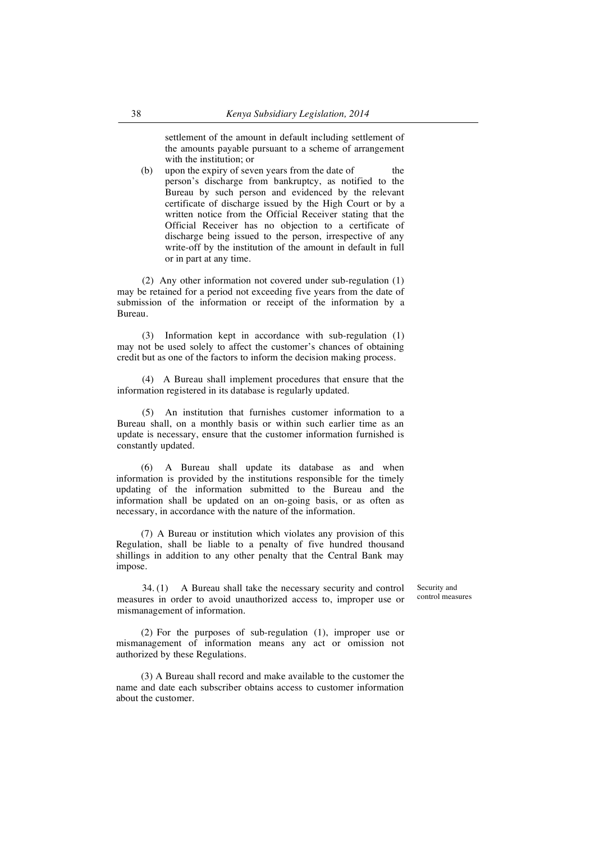settlement of the amount in default including settlement of the amounts payable pursuant to a scheme of arrangement with the institution; or

(b) upon the expiry of seven years from the date of the person's discharge from bankruptcy, as notified to the Bureau by such person and evidenced by the relevant certificate of discharge issued by the High Court or by a written notice from the Official Receiver stating that the Official Receiver has no objection to a certificate of discharge being issued to the person, irrespective of any write-off by the institution of the amount in default in full or in part at any time.

(2) Any other information not covered under sub-regulation (1) may be retained for a period not exceeding five years from the date of submission of the information or receipt of the information by a Bureau.

(3) Information kept in accordance with sub-regulation (1) may not be used solely to affect the customer's chances of obtaining credit but as one of the factors to inform the decision making process.

(4) A Bureau shall implement procedures that ensure that the information registered in its database is regularly updated.

(5) An institution that furnishes customer information to a Bureau shall, on a monthly basis or within such earlier time as an update is necessary, ensure that the customer information furnished is constantly updated.

(6) A Bureau shall update its database as and when information is provided by the institutions responsible for the timely updating of the information submitted to the Bureau and the information shall be updated on an on-going basis, or as often as necessary, in accordance with the nature of the information.

(7) A Bureau or institution which violates any provision of this Regulation, shall be liable to a penalty of five hundred thousand shillings in addition to any other penalty that the Central Bank may impose.

34. (1) A Bureau shall take the necessary security and control measures in order to avoid unauthorized access to, improper use or mismanagement of information.

Security and control measures

(2) For the purposes of sub-regulation (1), improper use or mismanagement of information means any act or omission not authorized by these Regulations.

(3) A Bureau shall record and make available to the customer the name and date each subscriber obtains access to customer information about the customer.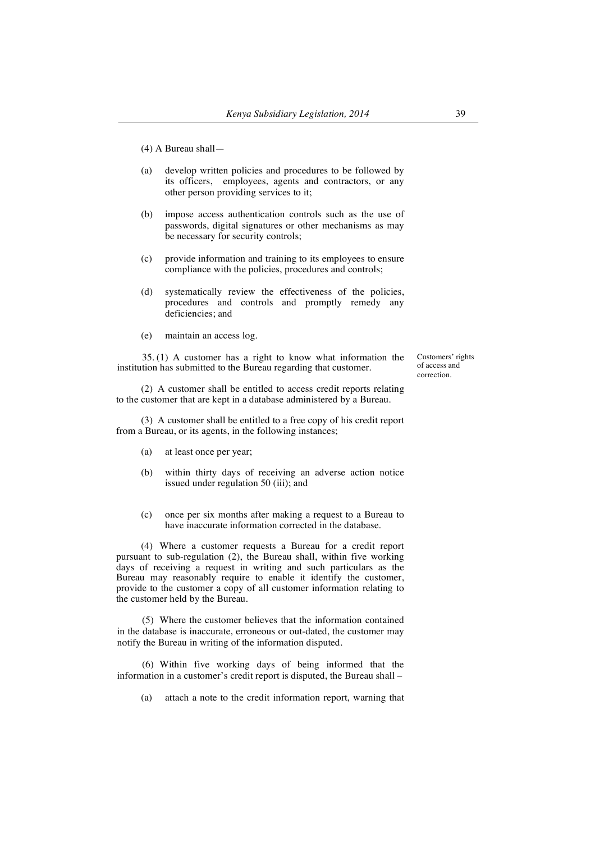- (a) develop written policies and procedures to be followed by its officers, employees, agents and contractors, or any other person providing services to it;
- (b) impose access authentication controls such as the use of passwords, digital signatures or other mechanisms as may be necessary for security controls;
- (c) provide information and training to its employees to ensure compliance with the policies, procedures and controls;
- (d) systematically review the effectiveness of the policies, procedures and controls and promptly remedy any deficiencies; and
- (e) maintain an access log.

35. (1) A customer has a right to know what information the institution has submitted to the Bureau regarding that customer.

Customers' rights of access and correction.

(2) A customer shall be entitled to access credit reports relating to the customer that are kept in a database administered by a Bureau.

(3) A customer shall be entitled to a free copy of his credit report from a Bureau, or its agents, in the following instances;

- (a) at least once per year;
- (b) within thirty days of receiving an adverse action notice issued under regulation 50 (iii); and
- (c) once per six months after making a request to a Bureau to have inaccurate information corrected in the database.

(4) Where a customer requests a Bureau for a credit report pursuant to sub-regulation (2), the Bureau shall, within five working days of receiving a request in writing and such particulars as the Bureau may reasonably require to enable it identify the customer, provide to the customer a copy of all customer information relating to the customer held by the Bureau.

(5) Where the customer believes that the information contained in the database is inaccurate, erroneous or out-dated, the customer may notify the Bureau in writing of the information disputed.

(6) Within five working days of being informed that the information in a customer's credit report is disputed, the Bureau shall –

(a) attach a note to the credit information report, warning that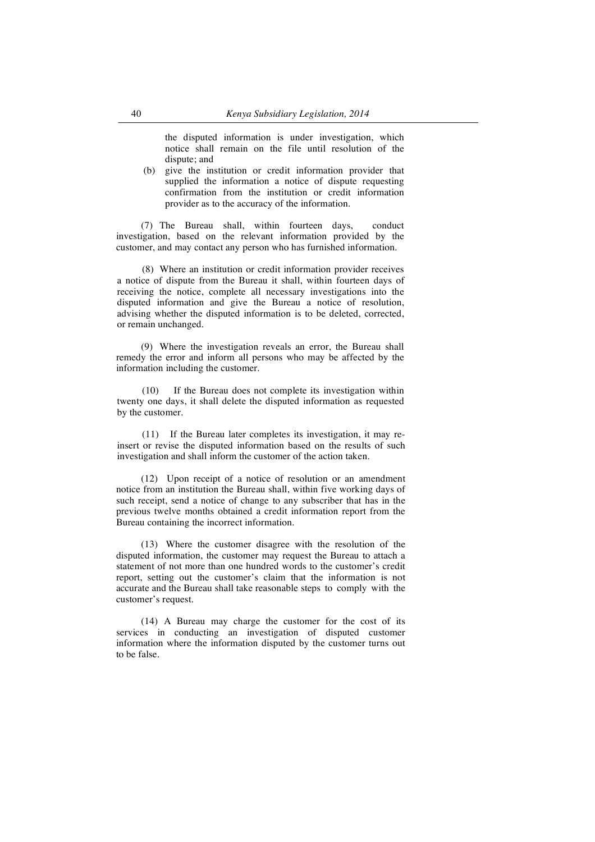the disputed information is under investigation, which notice shall remain on the file until resolution of the dispute; and

(b) give the institution or credit information provider that supplied the information a notice of dispute requesting confirmation from the institution or credit information provider as to the accuracy of the information.

(7) The Bureau shall, within fourteen days, conduct investigation, based on the relevant information provided by the customer, and may contact any person who has furnished information.

(8) Where an institution or credit information provider receives a notice of dispute from the Bureau it shall, within fourteen days of receiving the notice, complete all necessary investigations into the disputed information and give the Bureau a notice of resolution, advising whether the disputed information is to be deleted, corrected, or remain unchanged.

(9) Where the investigation reveals an error, the Bureau shall remedy the error and inform all persons who may be affected by the information including the customer.

(10) If the Bureau does not complete its investigation within twenty one days, it shall delete the disputed information as requested by the customer.

(11) If the Bureau later completes its investigation, it may reinsert or revise the disputed information based on the results of such investigation and shall inform the customer of the action taken.

(12) Upon receipt of a notice of resolution or an amendment notice from an institution the Bureau shall, within five working days of such receipt, send a notice of change to any subscriber that has in the previous twelve months obtained a credit information report from the Bureau containing the incorrect information.

(13) Where the customer disagree with the resolution of the disputed information, the customer may request the Bureau to attach a statement of not more than one hundred words to the customer's credit report, setting out the customer's claim that the information is not accurate and the Bureau shall take reasonable steps to comply with the customer's request.

(14) A Bureau may charge the customer for the cost of its services in conducting an investigation of disputed customer information where the information disputed by the customer turns out to be false.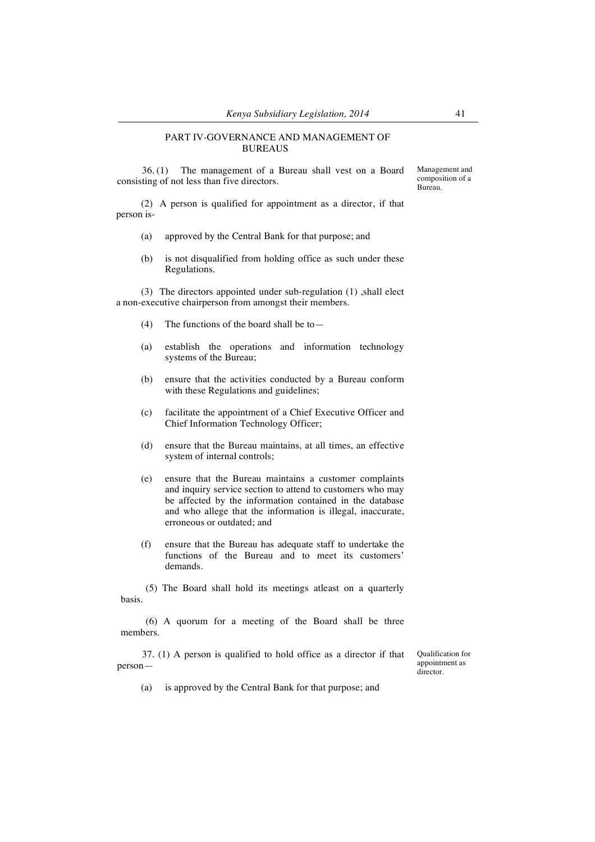#### PART IV-GOVERNANCE AND MANAGEMENT OF BUREAUS

36. (1) The management of a Bureau shall vest on a Board consisting of not less than five directors.

(2) A person is qualified for appointment as a director, if that person is-

- (a) approved by the Central Bank for that purpose; and
- (b) is not disqualified from holding office as such under these Regulations.

(3) The directors appointed under sub-regulation (1) ,shall elect a non-executive chairperson from amongst their members.

- (4) The functions of the board shall be to—
- (a) establish the operations and information technology systems of the Bureau;
- (b) ensure that the activities conducted by a Bureau conform with these Regulations and guidelines;
- (c) facilitate the appointment of a Chief Executive Officer and Chief Information Technology Officer;
- (d) ensure that the Bureau maintains, at all times, an effective system of internal controls;
- (e) ensure that the Bureau maintains a customer complaints and inquiry service section to attend to customers who may be affected by the information contained in the database and who allege that the information is illegal, inaccurate, erroneous or outdated; and
- (f) ensure that the Bureau has adequate staff to undertake the functions of the Bureau and to meet its customers' demands.

(5) The Board shall hold its meetings atleast on a quarterly basis.

(6) A quorum for a meeting of the Board shall be three members.

37. (1) A person is qualified to hold office as a director if that personQualification for appointment as director.

(a) is approved by the Central Bank for that purpose; and

Management and composition of a Bureau.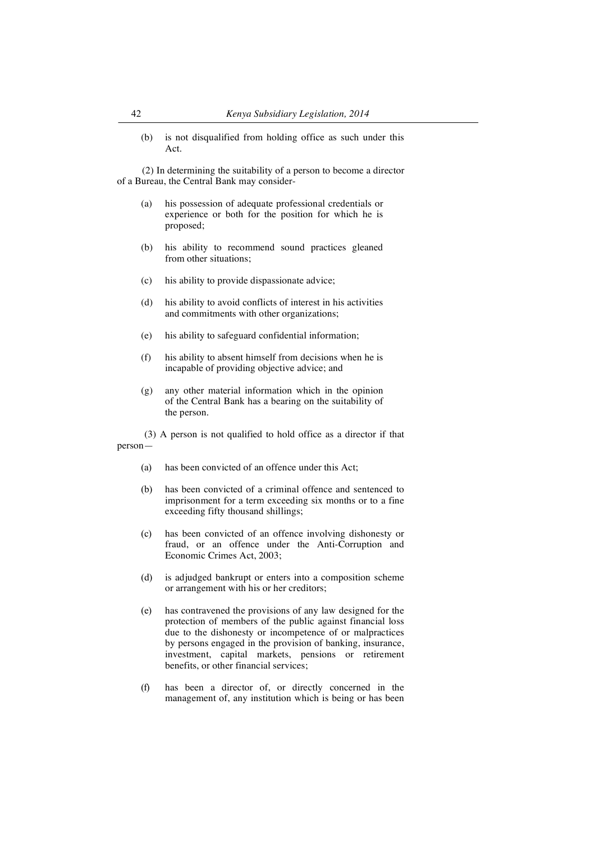(b) is not disqualified from holding office as such under this Act.

(2) In determining the suitability of a person to become a director of a Bureau, the Central Bank may consider-

- (a) his possession of adequate professional credentials or experience or both for the position for which he is proposed;
- (b) his ability to recommend sound practices gleaned from other situations;
- (c) his ability to provide dispassionate advice;
- (d) his ability to avoid conflicts of interest in his activities and commitments with other organizations;
- (e) his ability to safeguard confidential information;
- (f) his ability to absent himself from decisions when he is incapable of providing objective advice; and
- (g) any other material information which in the opinion of the Central Bank has a bearing on the suitability of the person.

(3) A person is not qualified to hold office as a director if that person—

- (a) has been convicted of an offence under this Act;
- (b) has been convicted of a criminal offence and sentenced to imprisonment for a term exceeding six months or to a fine exceeding fifty thousand shillings;
- (c) has been convicted of an offence involving dishonesty or fraud, or an offence under the Anti-Corruption and Economic Crimes Act, 2003;
- (d) is adjudged bankrupt or enters into a composition scheme or arrangement with his or her creditors;
- (e) has contravened the provisions of any law designed for the protection of members of the public against financial loss due to the dishonesty or incompetence of or malpractices by persons engaged in the provision of banking, insurance, investment, capital markets, pensions or retirement benefits, or other financial services;
- (f) has been a director of, or directly concerned in the management of, any institution which is being or has been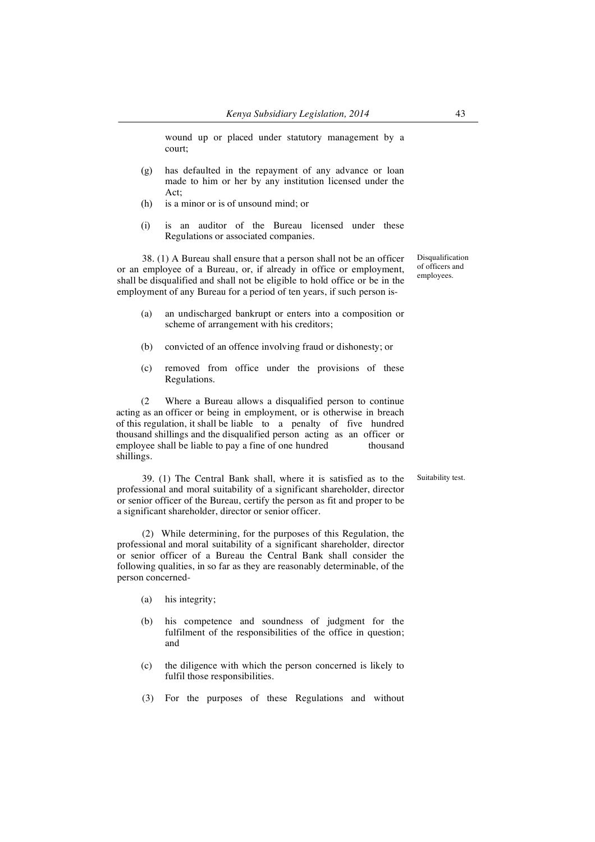wound up or placed under statutory management by a court;

- (g) has defaulted in the repayment of any advance or loan made to him or her by any institution licensed under the Act;
- (h) is a minor or is of unsound mind; or
- (i) is an auditor of the Bureau licensed under these Regulations or associated companies.

38. (1) A Bureau shall ensure that a person shall not be an officer or an employee of a Bureau, or, if already in office or employment, shall be disqualified and shall not be eligible to hold office or be in the employment of any Bureau for a period of ten years, if such person is-

- (a) an undischarged bankrupt or enters into a composition or scheme of arrangement with his creditors;
- (b) convicted of an offence involving fraud or dishonesty; or
- (c) removed from office under the provisions of these Regulations.

(2 Where a Bureau allows a disqualified person to continue acting as an officer or being in employment, or is otherwise in breach of this regulation, it shall be liable to a penalty of five hundred thousand shillings and the disqualified person acting as an officer or employee shall be liable to pay a fine of one hundred thousand shillings.

39. (1) The Central Bank shall, where it is satisfied as to the professional and moral suitability of a significant shareholder, director or senior officer of the Bureau, certify the person as fit and proper to be a significant shareholder, director or senior officer.

(2) While determining, for the purposes of this Regulation, the professional and moral suitability of a significant shareholder, director or senior officer of a Bureau the Central Bank shall consider the following qualities, in so far as they are reasonably determinable, of the person concerned-

- (a) his integrity;
- (b) his competence and soundness of judgment for the fulfilment of the responsibilities of the office in question; and
- (c) the diligence with which the person concerned is likely to fulfil those responsibilities.
- (3) For the purposes of these Regulations and without

Disqualification of officers and employees.

Suitability test.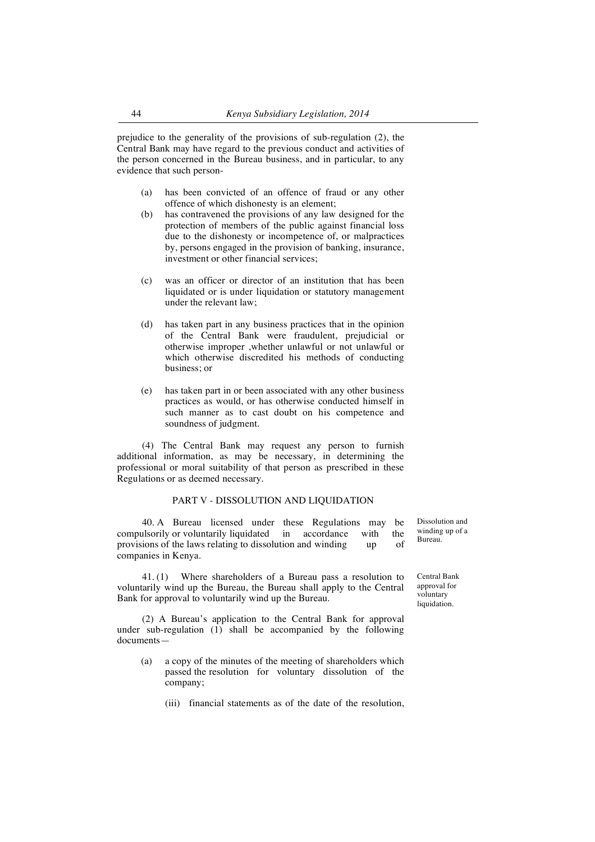prejudice to the generality of the provisions of sub-regulation (2), the Central Bank may have regard to the previous conduct and activities of the person concerned in the Bureau business, and in particular, to any evidence that such person-

- (a) has been convicted of an offence of fraud or any other offence of which dishonesty is an element;
- (b) has contravened the provisions of any law designed for the protection of members of the public against financial loss due to the dishonesty or incompetence of, or malpractices by, persons engaged in the provision of banking, insurance, investment or other financial services;
- (c) was an officer or director of an institution that has been liquidated or is under liquidation or statutory management under the relevant law;
- (d) has taken part in any business practices that in the opinion of the Central Bank were fraudulent, prejudicial or otherwise improper ,whether unlawful or not unlawful or which otherwise discredited his methods of conducting business; or
- (e) has taken part in or been associated with any other business practices as would, or has otherwise conducted himself in such manner as to cast doubt on his competence and soundness of judgment.

(4) The Central Bank may request any person to furnish additional information, as may be necessary, in determining the professional or moral suitability of that person as prescribed in these Regulations or as deemed necessary.

# PART V - DISSOLUTION AND LIQUIDATION

40. A Bureau licensed under these Regulations may be compulsorily or voluntarily liquidated in accordance with the provisions of the laws relating to dissolution and winding up of companies in Kenya.

41. (1) Where shareholders of a Bureau pass a resolution to voluntarily wind up the Bureau, the Bureau shall apply to the Central Bank for approval to voluntarily wind up the Bureau.

(2) A Bureau's application to the Central Bank for approval under sub-regulation  $(1)$  shall be accompanied by the following documents—

- (a) a copy of the minutes of the meeting of shareholders which passed the resolution for voluntary dissolution of the company;
	- (iii) financial statements as of the date of the resolution,

Dissolution and winding up of a Bureau.

Central Bank approval for voluntary liquidation.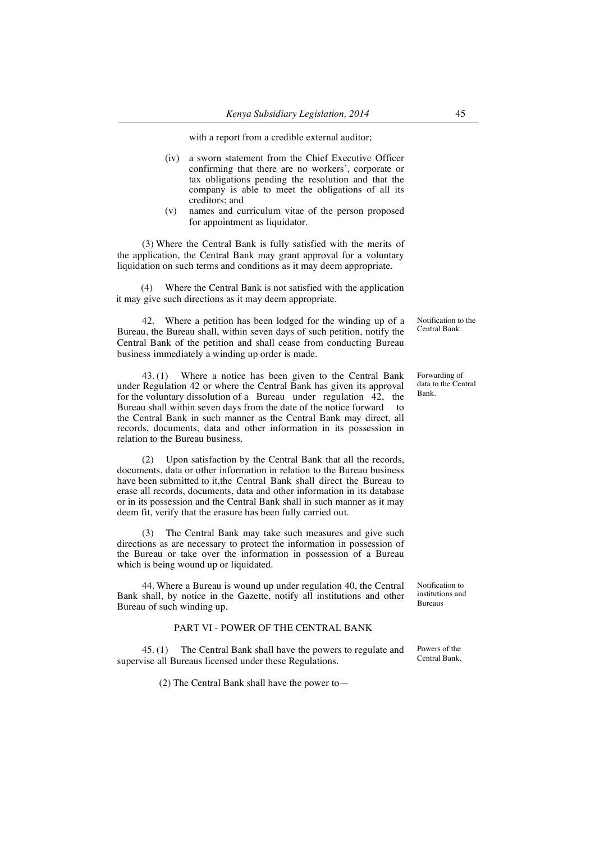with a report from a credible external auditor;

- (iv) a sworn statement from the Chief Executive Officer confirming that there are no workers', corporate or tax obligations pending the resolution and that the company is able to meet the obligations of all its creditors; and
- (v) names and curriculum vitae of the person proposed for appointment as liquidator.

(3) Where the Central Bank is fully satisfied with the merits of the application, the Central Bank may grant approval for a voluntary liquidation on such terms and conditions as it may deem appropriate.

(4) Where the Central Bank is not satisfied with the application it may give such directions as it may deem appropriate.

42. Where a petition has been lodged for the winding up of a Bureau, the Bureau shall, within seven days of such petition, notify the Central Bank of the petition and shall cease from conducting Bureau business immediately a winding up order is made.

43. (1) Where a notice has been given to the Central Bank under Regulation 42 or where the Central Bank has given its approval for the voluntary dissolution of a Bureau under regulation 42, the Bureau shall within seven days from the date of the notice forward to the Central Bank in such manner as the Central Bank may direct, all records, documents, data and other information in its possession in relation to the Bureau business.

(2) Upon satisfaction by the Central Bank that all the records, documents, data or other information in relation to the Bureau business have been submitted to it,the Central Bank shall direct the Bureau to erase all records, documents, data and other information in its database or in its possession and the Central Bank shall in such manner as it may deem fit, verify that the erasure has been fully carried out.

(3) The Central Bank may take such measures and give such directions as are necessary to protect the information in possession of the Bureau or take over the information in possession of a Bureau which is being wound up or liquidated.

44. Where a Bureau is wound up under regulation 40, the Central Bank shall, by notice in the Gazette, notify all institutions and other Bureau of such winding up.

## PART VI - POWER OF THE CENTRAL BANK

45. (1) The Central Bank shall have the powers to regulate and supervise all Bureaus licensed under these Regulations.

(2) The Central Bank shall have the power to—

Notification to the Central Bank

Forwarding of data to the Central Bank.

Notification to institutions and Bureaus

Powers of the Central Bank.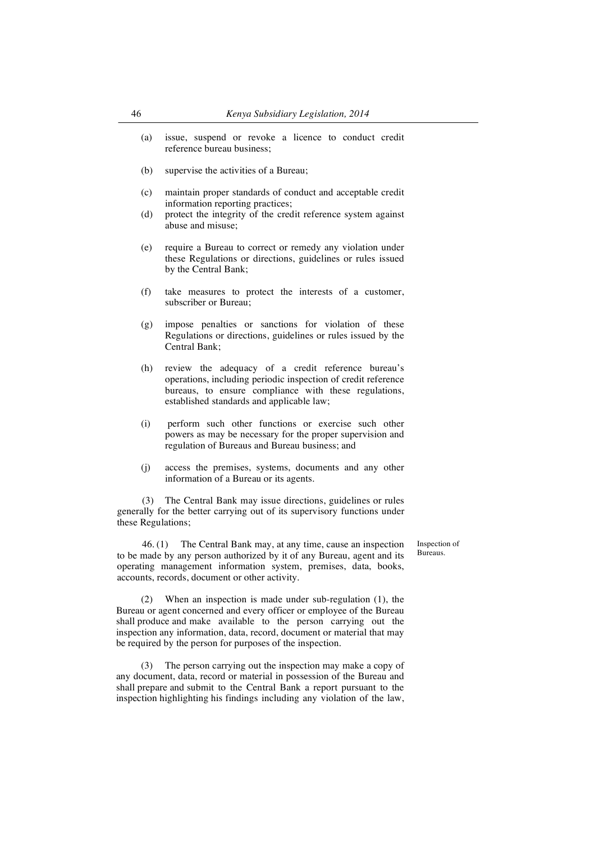- (a) issue, suspend or revoke a licence to conduct credit reference bureau business;
- (b) supervise the activities of a Bureau;
- (c) maintain proper standards of conduct and acceptable credit information reporting practices;
- (d) protect the integrity of the credit reference system against abuse and misuse;
- (e) require a Bureau to correct or remedy any violation under these Regulations or directions, guidelines or rules issued by the Central Bank;
- (f) take measures to protect the interests of a customer, subscriber or Bureau;
- (g) impose penalties or sanctions for violation of these Regulations or directions, guidelines or rules issued by the Central Bank;
- (h) review the adequacy of a credit reference bureau's operations, including periodic inspection of credit reference bureaus, to ensure compliance with these regulations, established standards and applicable law;
- (i) perform such other functions or exercise such other powers as may be necessary for the proper supervision and regulation of Bureaus and Bureau business; and
- (j) access the premises, systems, documents and any other information of a Bureau or its agents.

(3) The Central Bank may issue directions, guidelines or rules generally for the better carrying out of its supervisory functions under these Regulations;

46. (1) The Central Bank may, at any time, cause an inspection to be made by any person authorized by it of any Bureau, agent and its operating management information system, premises, data, books, accounts, records, document or other activity.

(2) When an inspection is made under sub-regulation (1), the Bureau or agent concerned and every officer or employee of the Bureau shall produce and make available to the person carrying out the inspection any information, data, record, document or material that may be required by the person for purposes of the inspection.

(3) The person carrying out the inspection may make a copy of any document, data, record or material in possession of the Bureau and shall prepare and submit to the Central Bank a report pursuant to the inspection highlighting his findings including any violation of the law,

Inspection of Bureaus.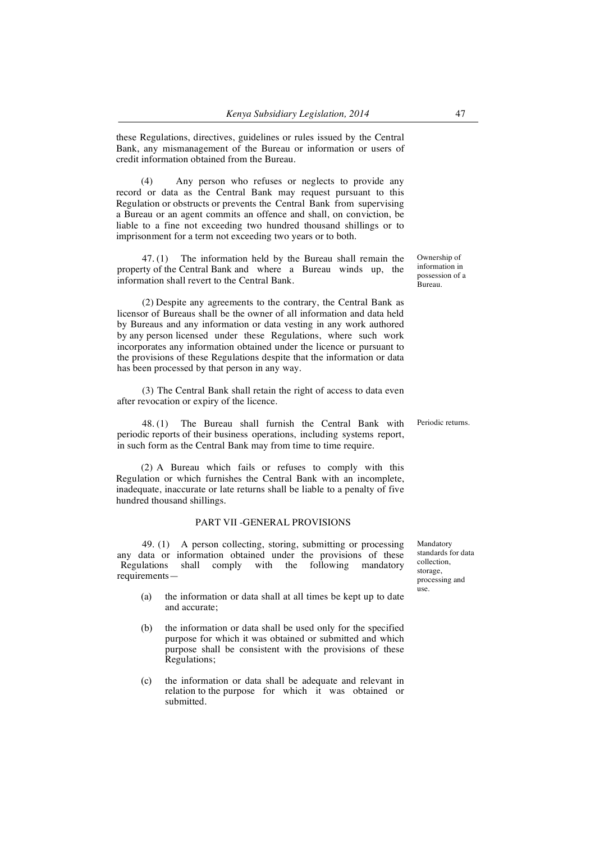these Regulations, directives, guidelines or rules issued by the Central Bank, any mismanagement of the Bureau or information or users of credit information obtained from the Bureau.

(4) Any person who refuses or neglects to provide any record or data as the Central Bank may request pursuant to this Regulation or obstructs or prevents the Central Bank from supervising a Bureau or an agent commits an offence and shall, on conviction, be liable to a fine not exceeding two hundred thousand shillings or to imprisonment for a term not exceeding two years or to both.

47. (1) The information held by the Bureau shall remain the property of the Central Bank and where a Bureau winds up, the information shall revert to the Central Bank.

(2) Despite any agreements to the contrary, the Central Bank as licensor of Bureaus shall be the owner of all information and data held by Bureaus and any information or data vesting in any work authored by any person licensed under these Regulations, where such work incorporates any information obtained under the licence or pursuant to the provisions of these Regulations despite that the information or data has been processed by that person in any way.

(3) The Central Bank shall retain the right of access to data even after revocation or expiry of the licence.

48. (1) The Bureau shall furnish the Central Bank with periodic reports of their business operations, including systems report, in such form as the Central Bank may from time to time require.

(2) A Bureau which fails or refuses to comply with this Regulation or which furnishes the Central Bank with an incomplete, inadequate, inaccurate or late returns shall be liable to a penalty of five hundred thousand shillings.

## PART VII -GENERAL PROVISIONS

49. (1) A person collecting, storing, submitting or processing any data or information obtained under the provisions of these Regulations shall comply with the following mandatory requirements—

- (a) the information or data shall at all times be kept up to date and accurate;
- (b) the information or data shall be used only for the specified purpose for which it was obtained or submitted and which purpose shall be consistent with the provisions of these Regulations;
- (c) the information or data shall be adequate and relevant in relation to the purpose for which it was obtained or submitted.

Mandatory standards for data collection, storage processing and use.

Ownership of information in possession of a Bureau.

Periodic returns.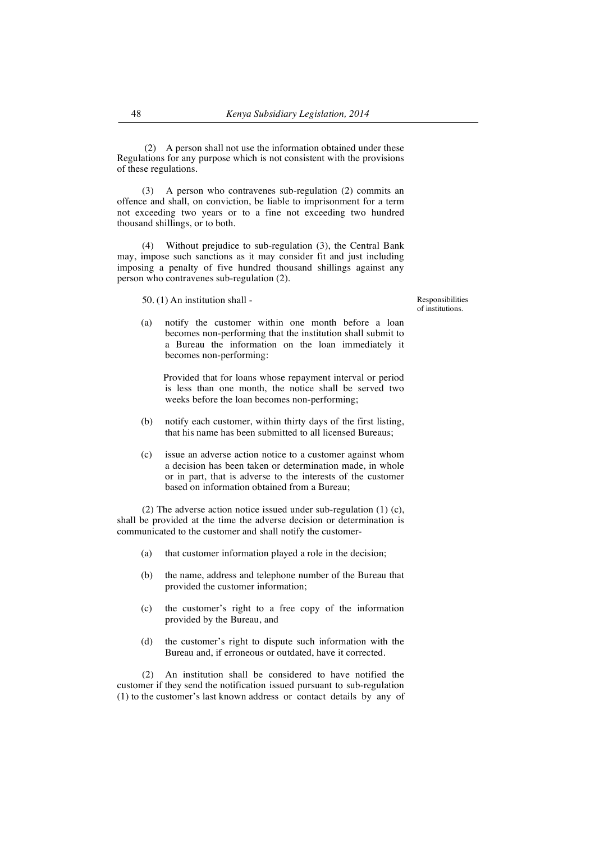(2) A person shall not use the information obtained under these Regulations for any purpose which is not consistent with the provisions of these regulations.

(3) A person who contravenes sub-regulation (2) commits an offence and shall, on conviction, be liable to imprisonment for a term not exceeding two years or to a fine not exceeding two hundred thousand shillings, or to both.

(4) Without prejudice to sub-regulation (3), the Central Bank may, impose such sanctions as it may consider fit and just including imposing a penalty of five hundred thousand shillings against any person who contravenes sub-regulation (2).

50. (1) An institution shall -

Responsibilities of institutions.

(a) notify the customer within one month before a loan becomes non-performing that the institution shall submit to a Bureau the information on the loan immediately it becomes non-performing:

Provided that for loans whose repayment interval or period is less than one month, the notice shall be served two weeks before the loan becomes non-performing;

- (b) notify each customer, within thirty days of the first listing, that his name has been submitted to all licensed Bureaus;
- (c) issue an adverse action notice to a customer against whom a decision has been taken or determination made, in whole or in part, that is adverse to the interests of the customer based on information obtained from a Bureau;

(2) The adverse action notice issued under sub-regulation (1) (c), shall be provided at the time the adverse decision or determination is communicated to the customer and shall notify the customer-

- (a) that customer information played a role in the decision;
- (b) the name, address and telephone number of the Bureau that provided the customer information;
- (c) the customer's right to a free copy of the information provided by the Bureau, and
- (d) the customer's right to dispute such information with the Bureau and, if erroneous or outdated, have it corrected.

(2) An institution shall be considered to have notified the customer if they send the notification issued pursuant to sub-regulation (1) to the customer's last known address or contact details by any of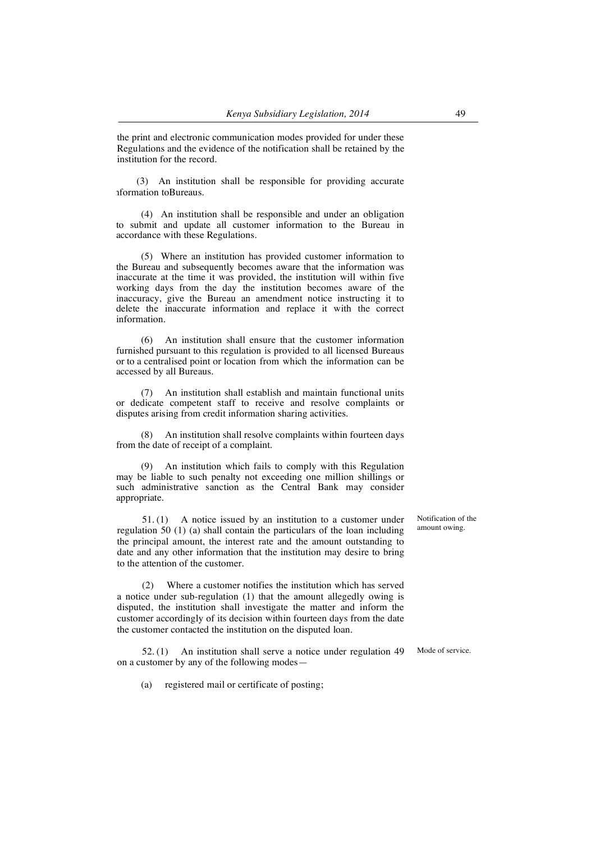the print and electronic communication modes provided for under these Regulations and the evidence of the notification shall be retained by the institution for the record.

(3) An institution shall be responsible for providing accurate information toBureaus.

(4) An institution shall be responsible and under an obligation to submit and update all customer information to the Bureau in accordance with these Regulations.

(5) Where an institution has provided customer information to the Bureau and subsequently becomes aware that the information was inaccurate at the time it was provided, the institution will within five working days from the day the institution becomes aware of the inaccuracy, give the Bureau an amendment notice instructing it to delete the inaccurate information and replace it with the correct information.

(6) An institution shall ensure that the customer information furnished pursuant to this regulation is provided to all licensed Bureaus or to a centralised point or location from which the information can be accessed by all Bureaus.

An institution shall establish and maintain functional units or dedicate competent staff to receive and resolve complaints or disputes arising from credit information sharing activities.

(8) An institution shall resolve complaints within fourteen days from the date of receipt of a complaint.

(9) An institution which fails to comply with this Regulation may be liable to such penalty not exceeding one million shillings or such administrative sanction as the Central Bank may consider appropriate.

51. (1) A notice issued by an institution to a customer under regulation 50 (1) (a) shall contain the particulars of the loan including the principal amount, the interest rate and the amount outstanding to date and any other information that the institution may desire to bring to the attention of the customer.

(2) Where a customer notifies the institution which has served a notice under sub-regulation (1) that the amount allegedly owing is disputed, the institution shall investigate the matter and inform the customer accordingly of its decision within fourteen days from the date the customer contacted the institution on the disputed loan.

52. (1) An institution shall serve a notice under regulation 49 on a customer by any of the following modes—

(a) registered mail or certificate of posting;

Notification of the amount owing.

Mode of service.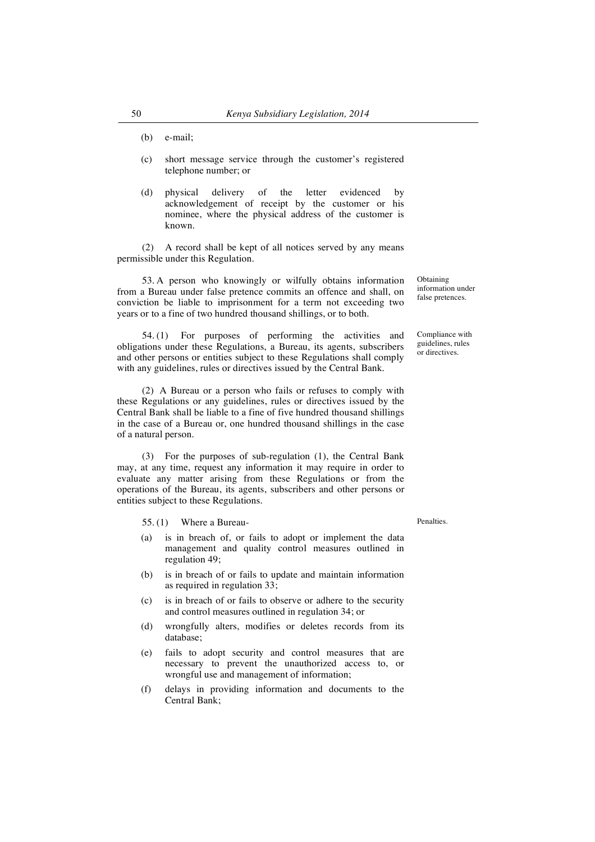- (b) e-mail;
- (c) short message service through the customer's registered telephone number; or
- (d) physical delivery of the letter evidenced by acknowledgement of receipt by the customer or his nominee, where the physical address of the customer is known.

(2) A record shall be kept of all notices served by any means permissible under this Regulation.

53. A person who knowingly or wilfully obtains information from a Bureau under false pretence commits an offence and shall, on conviction be liable to imprisonment for a term not exceeding two years or to a fine of two hundred thousand shillings, or to both.

54. (1) For purposes of performing the activities and obligations under these Regulations, a Bureau, its agents, subscribers and other persons or entities subject to these Regulations shall comply with any guidelines, rules or directives issued by the Central Bank.

(2) A Bureau or a person who fails or refuses to comply with these Regulations or any guidelines, rules or directives issued by the Central Bank shall be liable to a fine of five hundred thousand shillings in the case of a Bureau or, one hundred thousand shillings in the case of a natural person.

(3) For the purposes of sub-regulation (1), the Central Bank may, at any time, request any information it may require in order to evaluate any matter arising from these Regulations or from the operations of the Bureau, its agents, subscribers and other persons or entities subject to these Regulations.

55. (1) Where a Bureau-

- (a) is in breach of, or fails to adopt or implement the data management and quality control measures outlined in regulation 49;
- (b) is in breach of or fails to update and maintain information as required in regulation 33;
- (c) is in breach of or fails to observe or adhere to the security and control measures outlined in regulation 34; or
- (d) wrongfully alters, modifies or deletes records from its database;
- (e) fails to adopt security and control measures that are necessary to prevent the unauthorized access to, or wrongful use and management of information;
- (f) delays in providing information and documents to the Central Bank;

Obtaining information under false pretences.

Compliance with guidelines, rules or directives.

Penalties.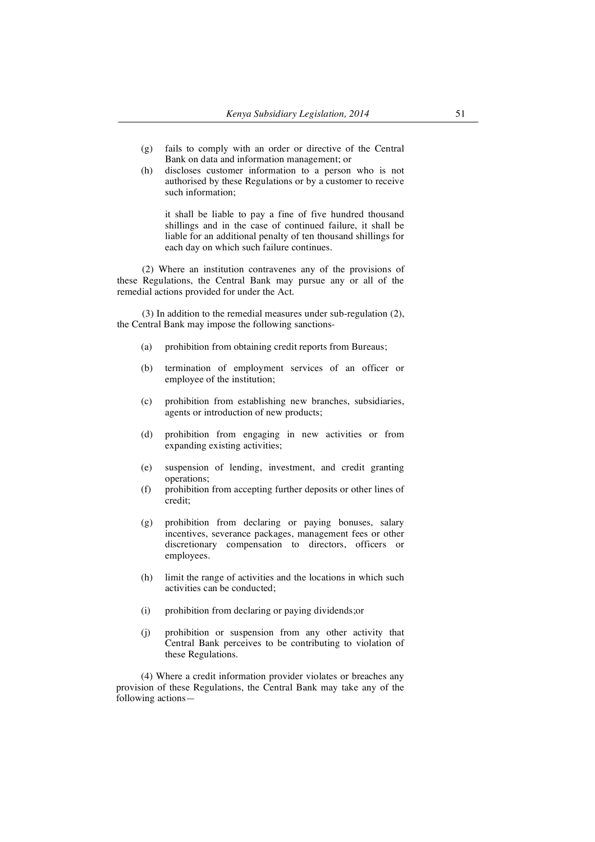- (g) fails to comply with an order or directive of the Central Bank on data and information management; or
- (h) discloses customer information to a person who is not authorised by these Regulations or by a customer to receive such information;

it shall be liable to pay a fine of five hundred thousand shillings and in the case of continued failure, it shall be liable for an additional penalty of ten thousand shillings for each day on which such failure continues.

(2) Where an institution contravenes any of the provisions of these Regulations, the Central Bank may pursue any or all of the remedial actions provided for under the Act.

(3) In addition to the remedial measures under sub-regulation (2), the Central Bank may impose the following sanctions-

- (a) prohibition from obtaining credit reports from Bureaus;
- (b) termination of employment services of an officer or employee of the institution;
- (c) prohibition from establishing new branches, subsidiaries, agents or introduction of new products;
- (d) prohibition from engaging in new activities or from expanding existing activities;
- (e) suspension of lending, investment, and credit granting operations;
- (f) prohibition from accepting further deposits or other lines of credit;
- (g) prohibition from declaring or paying bonuses, salary incentives, severance packages, management fees or other discretionary compensation to directors, officers or employees.
- (h) limit the range of activities and the locations in which such activities can be conducted;
- (i) prohibition from declaring or paying dividends;or
- (j) prohibition or suspension from any other activity that Central Bank perceives to be contributing to violation of these Regulations.

(4) Where a credit information provider violates or breaches any provision of these Regulations, the Central Bank may take any of the following actions—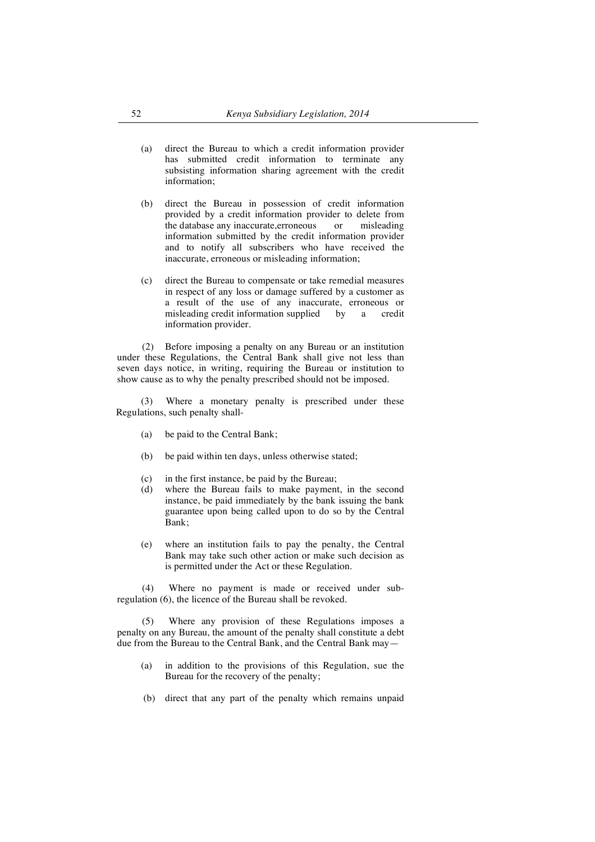- (a) direct the Bureau to which a credit information provider has submitted credit information to terminate any subsisting information sharing agreement with the credit information;
- (b) direct the Bureau in possession of credit information provided by a credit information provider to delete from the database any inaccurate,erroneous or misleading information submitted by the credit information provider and to notify all subscribers who have received the inaccurate, erroneous or misleading information;
- (c) direct the Bureau to compensate or take remedial measures in respect of any loss or damage suffered by a customer as a result of the use of any inaccurate, erroneous or misleading credit information supplied by a credit information provider.

(2) Before imposing a penalty on any Bureau or an institution under these Regulations, the Central Bank shall give not less than seven days notice, in writing, requiring the Bureau or institution to show cause as to why the penalty prescribed should not be imposed.

(3) Where a monetary penalty is prescribed under these Regulations, such penalty shall-

- (a) be paid to the Central Bank;
- (b) be paid within ten days, unless otherwise stated;
- (c) in the first instance, be paid by the Bureau;
- (d) where the Bureau fails to make payment, in the second instance, be paid immediately by the bank issuing the bank guarantee upon being called upon to do so by the Central Bank;
- (e) where an institution fails to pay the penalty, the Central Bank may take such other action or make such decision as is permitted under the Act or these Regulation.

(4) Where no payment is made or received under subregulation (6), the licence of the Bureau shall be revoked.

(5) Where any provision of these Regulations imposes a penalty on any Bureau, the amount of the penalty shall constitute a debt due from the Bureau to the Central Bank, and the Central Bank may—

- (a) in addition to the provisions of this Regulation, sue the Bureau for the recovery of the penalty;
- (b) direct that any part of the penalty which remains unpaid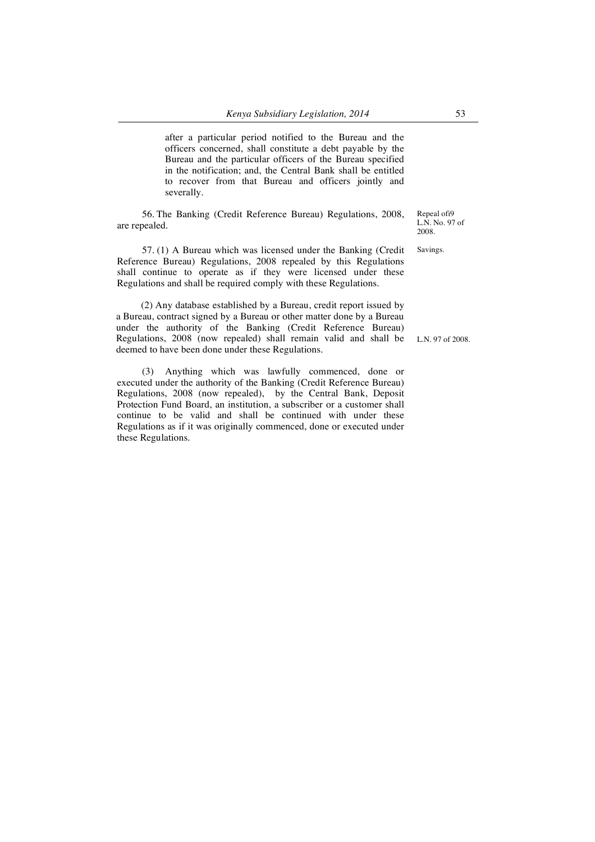after a particular period notified to the Bureau and the officers concerned, shall constitute a debt payable by the Bureau and the particular officers of the Bureau specified in the notification; and, the Central Bank shall be entitled to recover from that Bureau and officers jointly and severally.

56. The Banking (Credit Reference Bureau) Regulations, 2008, are repealed.

57. (1) A Bureau which was licensed under the Banking (Credit Reference Bureau) Regulations, 2008 repealed by this Regulations shall continue to operate as if they were licensed under these Regulations and shall be required comply with these Regulations.

(2) Any database established by a Bureau, credit report issued by a Bureau, contract signed by a Bureau or other matter done by a Bureau under the authority of the Banking (Credit Reference Bureau) Regulations, 2008 (now repealed) shall remain valid and shall be deemed to have been done under these Regulations.

(3) Anything which was lawfully commenced, done or executed under the authority of the Banking (Credit Reference Bureau) Regulations, 2008 (now repealed), by the Central Bank, Deposit Protection Fund Board, an institution, a subscriber or a customer shall continue to be valid and shall be continued with under these Regulations as if it was originally commenced, done or executed under these Regulations.

Repeal ofi9 L.N. No. 97 of 2008.

Savings.

L.N. 97 of 2008.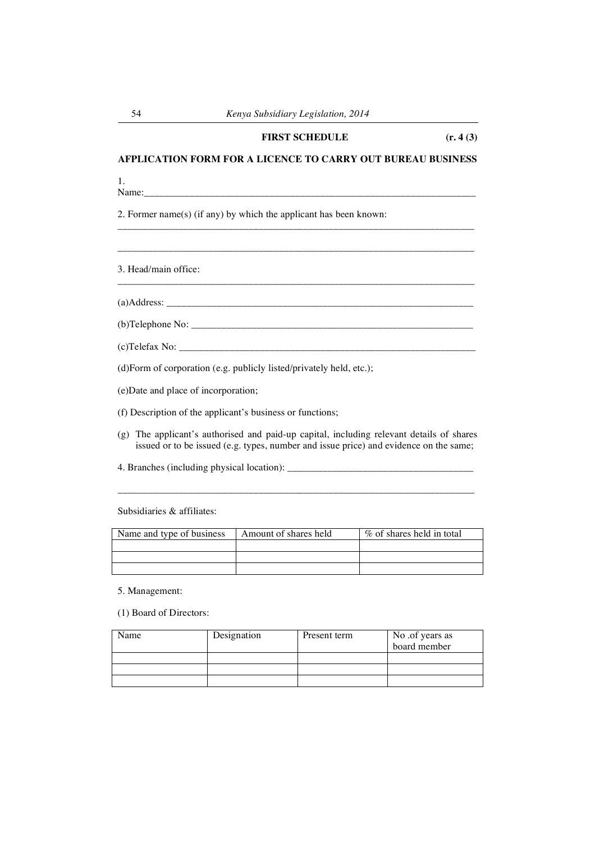# **AFPLICATION FORM FOR A LICENCE TO CARRY OUT BUREAU BUSINESS**

\_\_\_\_\_\_\_\_\_\_\_\_\_\_\_\_\_\_\_\_\_\_\_\_\_\_\_\_\_\_\_\_\_\_\_\_\_\_\_\_\_\_\_\_\_\_\_\_\_\_\_\_\_\_\_\_\_\_\_\_\_\_\_\_\_\_\_\_\_\_\_

\_\_\_\_\_\_\_\_\_\_\_\_\_\_\_\_\_\_\_\_\_\_\_\_\_\_\_\_\_\_\_\_\_\_\_\_\_\_\_\_\_\_\_\_\_\_\_\_\_\_\_\_\_\_\_\_\_\_\_\_\_\_\_\_\_\_\_\_\_\_\_

\_\_\_\_\_\_\_\_\_\_\_\_\_\_\_\_\_\_\_\_\_\_\_\_\_\_\_\_\_\_\_\_\_\_\_\_\_\_\_\_\_\_\_\_\_\_\_\_\_\_\_\_\_\_\_\_\_\_\_\_\_\_\_\_\_\_\_\_\_\_\_

1.<br>Name:

Name:\_\_\_\_\_\_\_\_\_\_\_\_\_\_\_\_\_\_\_\_\_\_\_\_\_\_\_\_\_\_\_\_\_\_\_\_\_\_\_\_\_\_\_\_\_\_\_\_\_\_\_\_\_\_\_\_\_\_\_\_\_\_\_\_\_\_

2. Former name(s) (if any) by which the applicant has been known:

3. Head/main office:

 $(a)$ Address:

(b)Telephone No: \_\_\_\_\_\_\_\_\_\_\_\_\_\_\_\_\_\_\_\_\_\_\_\_\_\_\_\_\_\_\_\_\_\_\_\_\_\_\_\_\_\_\_\_\_\_\_\_\_\_\_\_\_\_\_\_

 $(c)$ Telefax No:

(d)Form of corporation (e.g. publicly listed/privately held, etc.);

(e)Date and place of incorporation;

(f) Description of the applicant's business or functions;

(g) The applicant's authorised and paid-up capital, including relevant details of shares issued or to be issued (e.g. types, number and issue price) and evidence on the same;

\_\_\_\_\_\_\_\_\_\_\_\_\_\_\_\_\_\_\_\_\_\_\_\_\_\_\_\_\_\_\_\_\_\_\_\_\_\_\_\_\_\_\_\_\_\_\_\_\_\_\_\_\_\_\_\_\_\_\_\_\_\_\_\_\_\_\_\_\_\_\_

4. Branches (including physical location): \_\_\_\_\_\_\_\_\_\_\_\_\_\_\_\_\_\_\_\_\_\_\_\_\_\_\_\_\_\_\_\_\_\_\_\_\_

Subsidiaries & affiliates:

| Amount of shares held | % of shares held in total |
|-----------------------|---------------------------|
|                       |                           |
|                       |                           |
|                       |                           |
|                       |                           |

5. Management:

(1) Board of Directors:

| Name | Designation | Present term | No .of years as |
|------|-------------|--------------|-----------------|
|      |             |              | board member    |
|      |             |              |                 |
|      |             |              |                 |
|      |             |              |                 |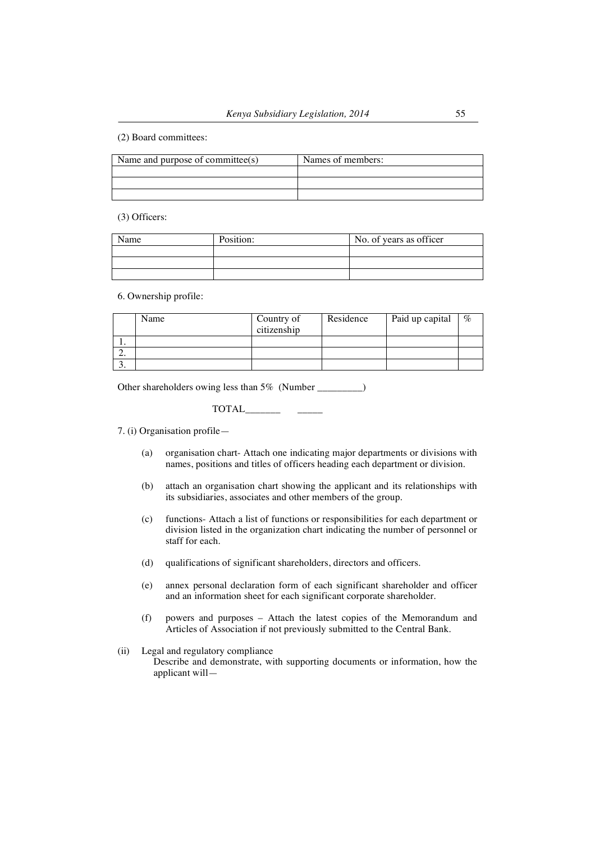## (2) Board committees:

| Name and purpose of committee(s) | Names of members: |
|----------------------------------|-------------------|
|                                  |                   |
|                                  |                   |
|                                  |                   |

(3) Officers:

| Name | Position: | No. of years as officer |
|------|-----------|-------------------------|
|      |           |                         |
|      |           |                         |
|      |           |                         |

#### 6. Ownership profile:

|    | Name | Country of<br>citizenship | Residence | Paid up capital | $\%$ |
|----|------|---------------------------|-----------|-----------------|------|
|    |      |                           |           |                 |      |
| ۷. |      |                           |           |                 |      |
| ◡. |      |                           |           |                 |      |

Other shareholders owing less than 5% (Number \_\_\_\_\_\_\_\_)

# $\begin{tabular}{cc} TOTAL & \textbf{---} \end{tabular}$

7. (i) Organisation profile—

- (a) organisation chart- Attach one indicating major departments or divisions with names, positions and titles of officers heading each department or division.
- (b) attach an organisation chart showing the applicant and its relationships with its subsidiaries, associates and other members of the group.
- (c) functions- Attach a list of functions or responsibilities for each department or division listed in the organization chart indicating the number of personnel or staff for each.
- (d) qualifications of significant shareholders, directors and officers.
- (e) annex personal declaration form of each significant shareholder and officer and an information sheet for each significant corporate shareholder.
- (f) powers and purposes Attach the latest copies of the Memorandum and Articles of Association if not previously submitted to the Central Bank.
- (ii) Legal and regulatory compliance

Describe and demonstrate, with supporting documents or information, how the applicant will—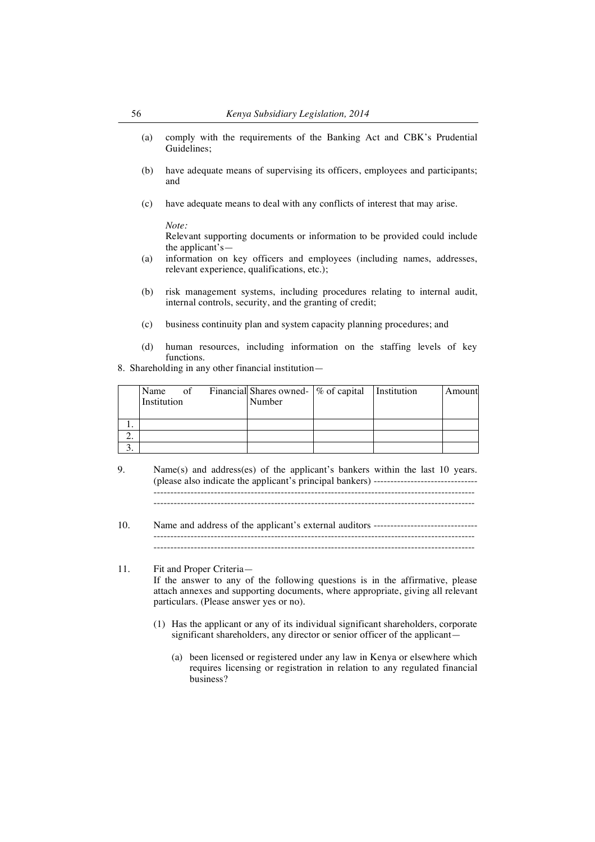- (a) comply with the requirements of the Banking Act and CBK's Prudential Guidelines;
- (b) have adequate means of supervising its officers, employees and participants; and
- (c) have adequate means to deal with any conflicts of interest that may arise.

*Note:*

Relevant supporting documents or information to be provided could include the applicant's—

- (a) information on key officers and employees (including names, addresses, relevant experience, qualifications, etc.);
- (b) risk management systems, including procedures relating to internal audit, internal controls, security, and the granting of credit;
- (c) business continuity plan and system capacity planning procedures; and
- (d) human resources, including information on the staffing levels of key functions.

8. Shareholding in any other financial institution—

|    | Name<br>Institution | of | Financial Shares owned-  % of capital   Institution<br>Number |  | Amount |
|----|---------------------|----|---------------------------------------------------------------|--|--------|
|    |                     |    |                                                               |  |        |
|    |                     |    |                                                               |  |        |
| ۷. |                     |    |                                                               |  |        |
|    |                     |    |                                                               |  |        |

- 9. Name(s) and address(es) of the applicant's bankers within the last 10 years. (please also indicate the applicant's principal bankers) ------------------------------- ------------------------------------------------------------------------------------------------
- 10. Name and address of the applicant's external auditors ------------------------------- ------------------------------------------------------------------------------------------------

11. Fit and Proper Criteria—

If the answer to any of the following questions is in the affirmative, please attach annexes and supporting documents, where appropriate, giving all relevant particulars. (Please answer yes or no).

- (1) Has the applicant or any of its individual significant shareholders, corporate significant shareholders, any director or senior officer of the applicant—
	- (a) been licensed or registered under any law in Kenya or elsewhere which requires licensing or registration in relation to any regulated financial business?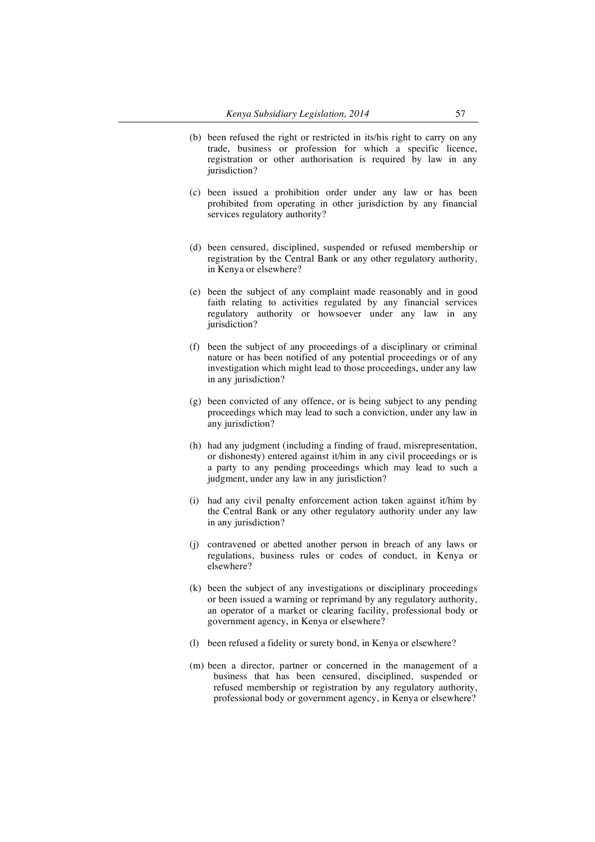- (b) been refused the right or restricted in its/his right to carry on any trade, business or profession for which a specific licence, registration or other authorisation is required by law in any jurisdiction?
- (c) been issued a prohibition order under any law or has been prohibited from operating in other jurisdiction by any financial services regulatory authority?
- (d) been censured, disciplined, suspended or refused membership or registration by the Central Bank or any other regulatory authority, in Kenya or elsewhere?
- (e) been the subject of any complaint made reasonably and in good faith relating to activities regulated by any financial services regulatory authority or howsoever under any law in any jurisdiction?
- (f) been the subject of any proceedings of a disciplinary or criminal nature or has been notified of any potential proceedings or of any investigation which might lead to those proceedings, under any law in any jurisdiction?
- (g) been convicted of any offence, or is being subject to any pending proceedings which may lead to such a conviction, under any law in any jurisdiction?
- (h) had any judgment (including a finding of fraud, misrepresentation, or dishonesty) entered against it/him in any civil proceedings or is a party to any pending proceedings which may lead to such a judgment, under any law in any jurisdiction?
- (i) had any civil penalty enforcement action taken against it/him by the Central Bank or any other regulatory authority under any law in any jurisdiction?
- (j) contravened or abetted another person in breach of any laws or regulations, business rules or codes of conduct, in Kenya or elsewhere?
- (k) been the subject of any investigations or disciplinary proceedings or been issued a warning or reprimand by any regulatory authority, an operator of a market or clearing facility, professional body or government agency, in Kenya or elsewhere?
- (l) been refused a fidelity or surety bond, in Kenya or elsewhere?
- (m) been a director, partner or concerned in the management of a business that has been censured, disciplined, suspended or refused membership or registration by any regulatory authority, professional body or government agency, in Kenya or elsewhere?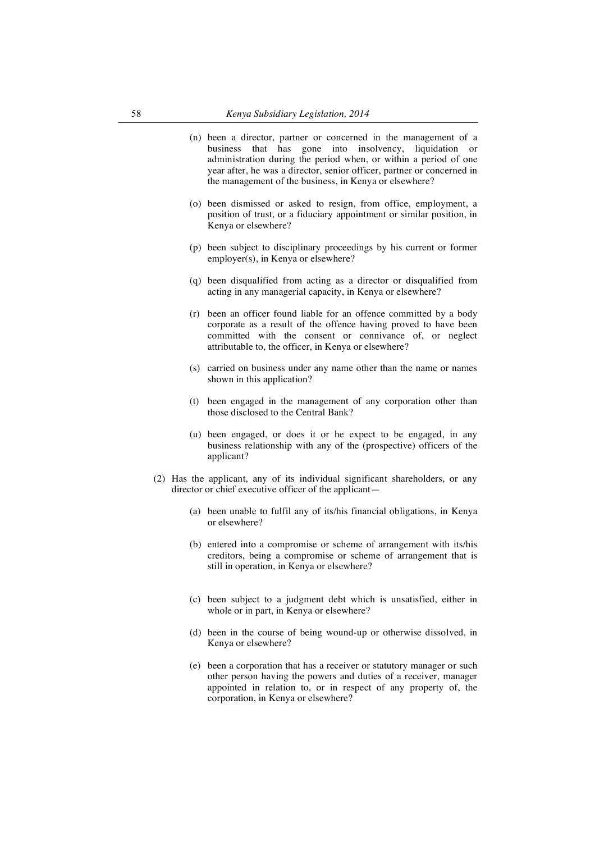- (n) been a director, partner or concerned in the management of a business that has gone into insolvency, liquidation or administration during the period when, or within a period of one year after, he was a director, senior officer, partner or concerned in the management of the business, in Kenya or elsewhere?
- (o) been dismissed or asked to resign, from office, employment, a position of trust, or a fiduciary appointment or similar position, in Kenya or elsewhere?
- (p) been subject to disciplinary proceedings by his current or former employer(s), in Kenya or elsewhere?
- (q) been disqualified from acting as a director or disqualified from acting in any managerial capacity, in Kenya or elsewhere?
- (r) been an officer found liable for an offence committed by a body corporate as a result of the offence having proved to have been committed with the consent or connivance of, or neglect attributable to, the officer, in Kenya or elsewhere?
- (s) carried on business under any name other than the name or names shown in this application?
- (t) been engaged in the management of any corporation other than those disclosed to the Central Bank?
- (u) been engaged, or does it or he expect to be engaged, in any business relationship with any of the (prospective) officers of the applicant?
- (2) Has the applicant, any of its individual significant shareholders, or any director or chief executive officer of the applicant—
	- (a) been unable to fulfil any of its/his financial obligations, in Kenya or elsewhere?
	- (b) entered into a compromise or scheme of arrangement with its/his creditors, being a compromise or scheme of arrangement that is still in operation, in Kenya or elsewhere?
	- (c) been subject to a judgment debt which is unsatisfied, either in whole or in part, in Kenya or elsewhere?
	- (d) been in the course of being wound-up or otherwise dissolved, in Kenya or elsewhere?
	- (e) been a corporation that has a receiver or statutory manager or such other person having the powers and duties of a receiver, manager appointed in relation to, or in respect of any property of, the corporation, in Kenya or elsewhere?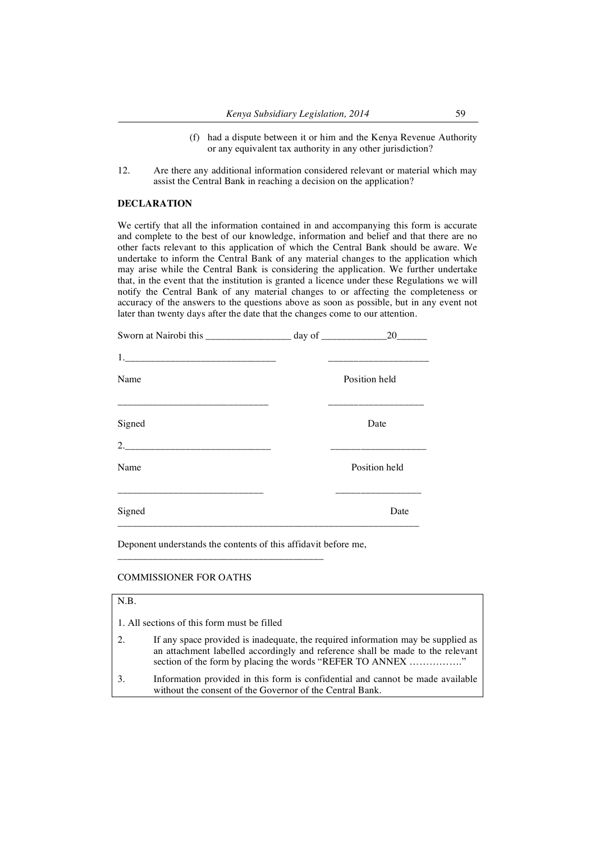- (f) had a dispute between it or him and the Kenya Revenue Authority or any equivalent tax authority in any other jurisdiction?
- 12. Are there any additional information considered relevant or material which may assist the Central Bank in reaching a decision on the application?

# **DECLARATION**

We certify that all the information contained in and accompanying this form is accurate and complete to the best of our knowledge, information and belief and that there are no other facts relevant to this application of which the Central Bank should be aware. We undertake to inform the Central Bank of any material changes to the application which may arise while the Central Bank is considering the application. We further undertake that, in the event that the institution is granted a licence under these Regulations we will notify the Central Bank of any material changes to or affecting the completeness or accuracy of the answers to the questions above as soon as possible, but in any event not later than twenty days after the date that the changes come to our attention.

|        | 20            |
|--------|---------------|
|        |               |
| Name   | Position held |
| Signed | Date          |
|        |               |
| Name   | Position held |
| Signed | Date          |
|        |               |

Deponent understands the contents of this affidavit before me,

\_\_\_\_\_\_\_\_\_\_\_\_\_\_\_\_\_\_\_\_\_\_\_\_\_\_\_\_\_\_\_\_\_\_\_\_\_\_\_\_\_

#### COMMISSIONER FOR OATHS

# N.B.

|    | 1. All sections of this form must be filled                                                                                                                                                                                      |
|----|----------------------------------------------------------------------------------------------------------------------------------------------------------------------------------------------------------------------------------|
| 2. | If any space provided is inadequate, the required information may be supplied as<br>an attachment labelled accordingly and reference shall be made to the relevant<br>section of the form by placing the words "REFER TO ANNEX " |
| 3. | Information provided in this form is confidential and cannot be made available<br>without the consent of the Governor of the Central Bank.                                                                                       |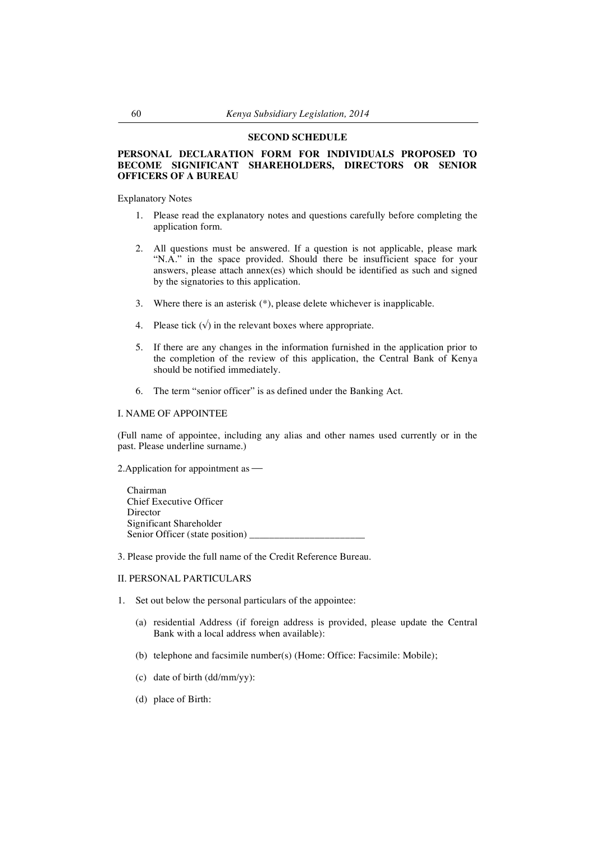#### **SECOND SCHEDULE**

## **PERSONAL DECLARATION FORM FOR INDIVIDUALS PROPOSED TO BECOME SIGNIFICANT SHAREHOLDERS, DIRECTORS OR SENIOR OFFICERS OF A BUREAU**

Explanatory Notes

- 1. Please read the explanatory notes and questions carefully before completing the application form.
- 2. All questions must be answered. If a question is not applicable, please mark "N.A." in the space provided. Should there be insufficient space for your answers, please attach annex(es) which should be identified as such and signed by the signatories to this application.
- 3. Where there is an asterisk (\*), please delete whichever is inapplicable.
- 4. Please tick  $(\sqrt{})$  in the relevant boxes where appropriate.
- 5. If there are any changes in the information furnished in the application prior to the completion of the review of this application, the Central Bank of Kenya should be notified immediately.
- 6. The term "senior officer" is as defined under the Banking Act.

#### I. NAME OF APPOINTEE

(Full name of appointee, including any alias and other names used currently or in the past. Please underline surname.)

2.Application for appointment as

 Chairman Chief Executive Officer Director Significant Shareholder Senior Officer (state position) \_\_\_\_\_\_\_\_\_\_\_\_\_\_\_\_\_\_\_\_\_\_\_

3. Please provide the full name of the Credit Reference Bureau.

# II. PERSONAL PARTICULARS

- 1. Set out below the personal particulars of the appointee:
	- (a) residential Address (if foreign address is provided, please update the Central Bank with a local address when available):
	- (b) telephone and facsimile number(s) (Home: Office: Facsimile: Mobile);
	- (c) date of birth (dd/mm/yy):
	- (d) place of Birth: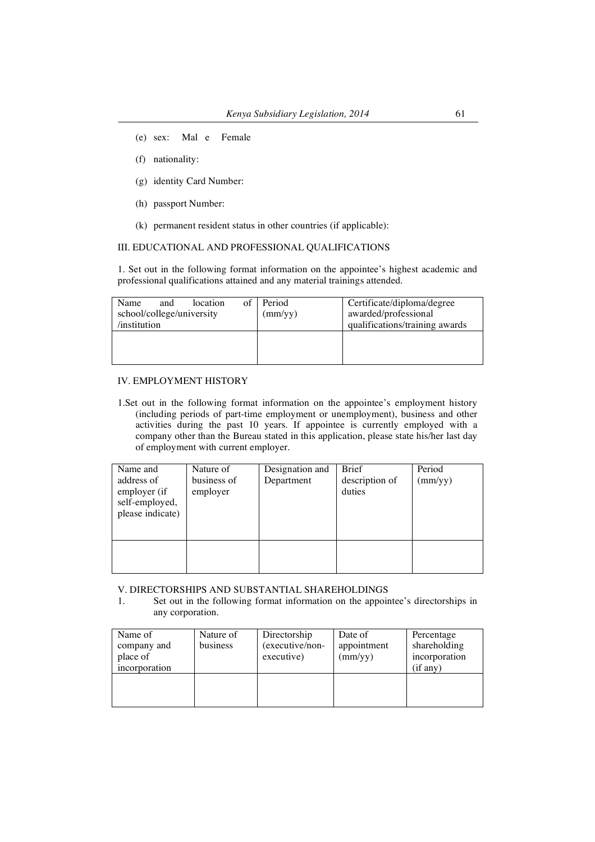- (e) sex: Mal e Female
- (f) nationality:
- (g) identity Card Number:
- (h) passport Number:
- (k) permanent resident status in other countries (if applicable):

III. EDUCATIONAL AND PROFESSIONAL QUALIFICATIONS

1. Set out in the following format information on the appointee's highest academic and professional qualifications attained and any material trainings attended.

| Name<br>and<br>school/college/university<br>/institution | location | $of \square$ | Period<br>(mm/yy) | Certificate/diploma/degree<br>awarded/professional<br>qualifications/training awards |
|----------------------------------------------------------|----------|--------------|-------------------|--------------------------------------------------------------------------------------|
|                                                          |          |              |                   |                                                                                      |

# IV. EMPLOYMENT HISTORY

1.Set out in the following format information on the appointee's employment history (including periods of part-time employment or unemployment), business and other activities during the past 10 years. If appointee is currently employed with a company other than the Bureau stated in this application, please state his/her last day of employment with current employer.

| Name and         | Nature of   | Designation and | <b>Brief</b>   | Period           |
|------------------|-------------|-----------------|----------------|------------------|
| address of       | business of | Department      | description of | $\text{(mm/yy)}$ |
| employer (if     | employer    |                 | duties         |                  |
| self-employed,   |             |                 |                |                  |
| please indicate) |             |                 |                |                  |
|                  |             |                 |                |                  |
|                  |             |                 |                |                  |
|                  |             |                 |                |                  |
|                  |             |                 |                |                  |
|                  |             |                 |                |                  |

V. DIRECTORSHIPS AND SUBSTANTIAL SHAREHOLDINGS

1. Set out in the following format information on the appointee's directorships in any corporation.

| Name of       | Nature of | Directorship    | Date of          | Percentage    |
|---------------|-----------|-----------------|------------------|---------------|
| company and   | business  | (executive/non- | appointment      | shareholding  |
| place of      |           | executive)      | $\text{(mm/yy)}$ | incorporation |
| incorporation |           |                 |                  | (if any)      |
|               |           |                 |                  |               |
|               |           |                 |                  |               |
|               |           |                 |                  |               |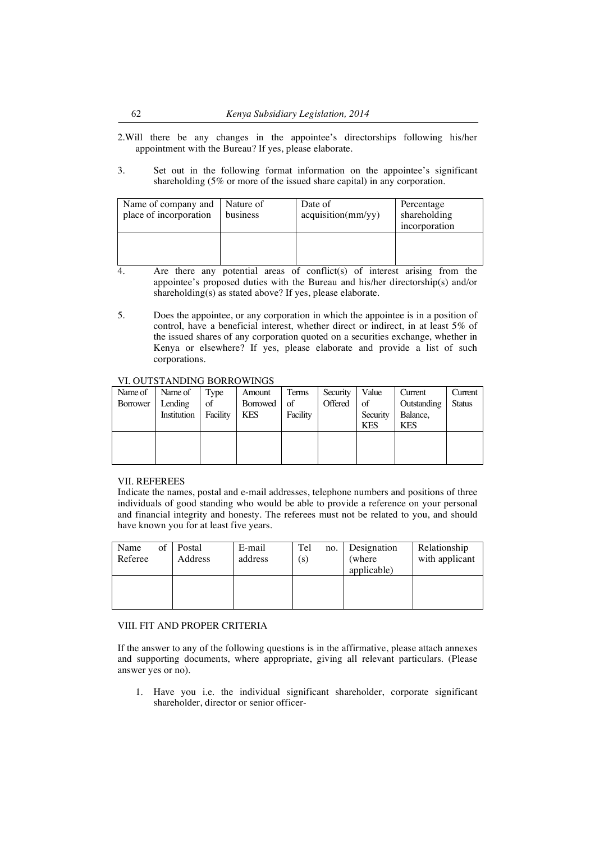2.Will there be any changes in the appointee's directorships following his/her appointment with the Bureau? If yes, please elaborate.

3. Set out in the following format information on the appointee's significant shareholding (5% or more of the issued share capital) in any corporation.

| Name of company and   Nature of<br>place of incorporation | business | Date of<br>acquisition(mm/yy) | Percentage<br>shareholding<br>incorporation |
|-----------------------------------------------------------|----------|-------------------------------|---------------------------------------------|
|                                                           |          |                               |                                             |

- 4. Are there any potential areas of conflict(s) of interest arising from the appointee's proposed duties with the Bureau and his/her directorship(s) and/or shareholding(s) as stated above? If yes, please elaborate.
- 5. Does the appointee, or any corporation in which the appointee is in a position of control, have a beneficial interest, whether direct or indirect, in at least 5% of the issued shares of any corporation quoted on a securities exchange, whether in Kenya or elsewhere? If yes, please elaborate and provide a list of such corporations.

## VI. OUTSTANDING BORROWINGS

| Name of Name of Type |    | Amount      | Terms    | Security           | Value      | Current     | Current       |
|----------------------|----|-------------|----------|--------------------|------------|-------------|---------------|
| Borrower   Lending   | of | Borrowed of |          | Offered $\vert$ of |            | Outstanding | <b>Status</b> |
| Institution Facility |    | <b>KES</b>  | Facility |                    | Security   | Balance,    |               |
|                      |    |             |          |                    | <b>KES</b> | <b>KES</b>  |               |
|                      |    |             |          |                    |            |             |               |
|                      |    |             |          |                    |            |             |               |
|                      |    |             |          |                    |            |             |               |

## VII. REFEREES

Indicate the names, postal and e-mail addresses, telephone numbers and positions of three individuals of good standing who would be able to provide a reference on your personal and financial integrity and honesty. The referees must not be related to you, and should have known you for at least five years.

| Name<br>Referee | of | Postal<br>Address | E-mail<br>address | Tel<br>(s) | no. | Designation<br>(where)<br>applicable) | Relationship<br>with applicant |
|-----------------|----|-------------------|-------------------|------------|-----|---------------------------------------|--------------------------------|
|                 |    |                   |                   |            |     |                                       |                                |

## VIII. FIT AND PROPER CRITERIA

If the answer to any of the following questions is in the affirmative, please attach annexes and supporting documents, where appropriate, giving all relevant particulars. (Please answer yes or no).

1. Have you i.e. the individual significant shareholder, corporate significant shareholder, director or senior officer-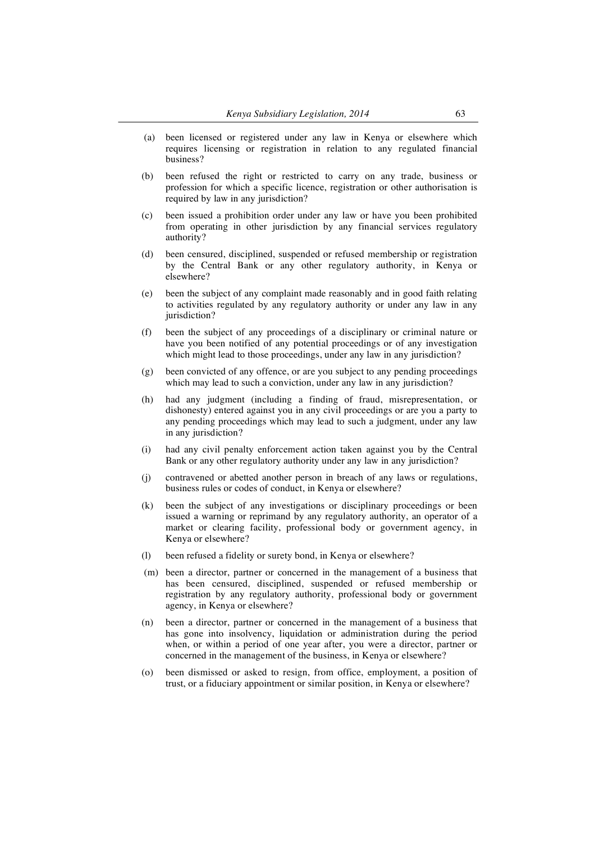- (a) been licensed or registered under any law in Kenya or elsewhere which requires licensing or registration in relation to any regulated financial business?
- (b) been refused the right or restricted to carry on any trade, business or profession for which a specific licence, registration or other authorisation is required by law in any jurisdiction?
- (c) been issued a prohibition order under any law or have you been prohibited from operating in other jurisdiction by any financial services regulatory authority?
- (d) been censured, disciplined, suspended or refused membership or registration by the Central Bank or any other regulatory authority, in Kenya or elsewhere?
- (e) been the subject of any complaint made reasonably and in good faith relating to activities regulated by any regulatory authority or under any law in any jurisdiction?
- (f) been the subject of any proceedings of a disciplinary or criminal nature or have you been notified of any potential proceedings or of any investigation which might lead to those proceedings, under any law in any jurisdiction?
- (g) been convicted of any offence, or are you subject to any pending proceedings which may lead to such a conviction, under any law in any jurisdiction?
- (h) had any judgment (including a finding of fraud, misrepresentation, or dishonesty) entered against you in any civil proceedings or are you a party to any pending proceedings which may lead to such a judgment, under any law in any jurisdiction?
- (i) had any civil penalty enforcement action taken against you by the Central Bank or any other regulatory authority under any law in any jurisdiction?
- (j) contravened or abetted another person in breach of any laws or regulations, business rules or codes of conduct, in Kenya or elsewhere?
- (k) been the subject of any investigations or disciplinary proceedings or been issued a warning or reprimand by any regulatory authority, an operator of a market or clearing facility, professional body or government agency, in Kenya or elsewhere?
- (l) been refused a fidelity or surety bond, in Kenya or elsewhere?
- (m) been a director, partner or concerned in the management of a business that has been censured, disciplined, suspended or refused membership or registration by any regulatory authority, professional body or government agency, in Kenya or elsewhere?
- (n) been a director, partner or concerned in the management of a business that has gone into insolvency, liquidation or administration during the period when, or within a period of one year after, you were a director, partner or concerned in the management of the business, in Kenya or elsewhere?
- (o) been dismissed or asked to resign, from office, employment, a position of trust, or a fiduciary appointment or similar position, in Kenya or elsewhere?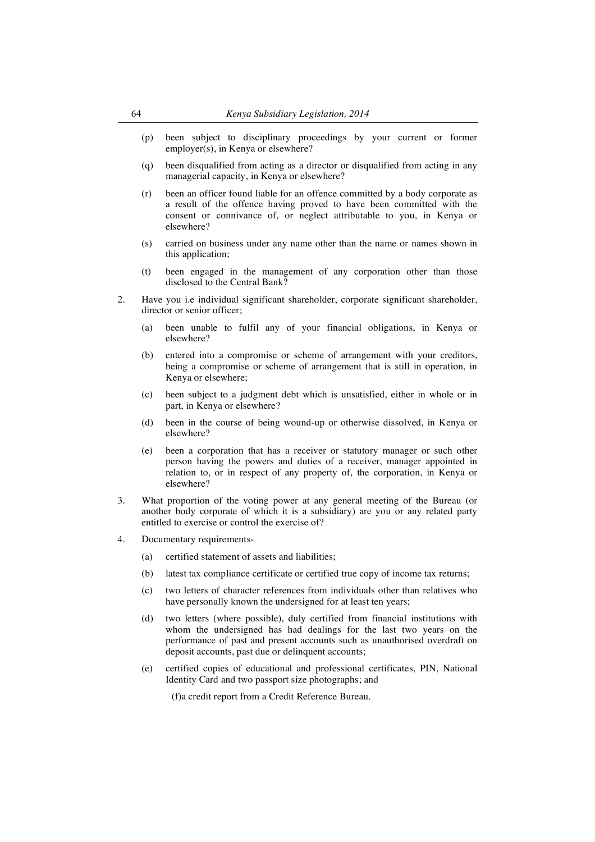- (p) been subject to disciplinary proceedings by your current or former employer(s), in Kenya or elsewhere?
- (q) been disqualified from acting as a director or disqualified from acting in any managerial capacity, in Kenya or elsewhere?
- (r) been an officer found liable for an offence committed by a body corporate as a result of the offence having proved to have been committed with the consent or connivance of, or neglect attributable to you, in Kenya or elsewhere?
- (s) carried on business under any name other than the name or names shown in this application;
- (t) been engaged in the management of any corporation other than those disclosed to the Central Bank?
- 2. Have you i.e individual significant shareholder, corporate significant shareholder, director or senior officer;
	- (a) been unable to fulfil any of your financial obligations, in Kenya or elsewhere?
	- (b) entered into a compromise or scheme of arrangement with your creditors, being a compromise or scheme of arrangement that is still in operation, in Kenya or elsewhere;
	- (c) been subject to a judgment debt which is unsatisfied, either in whole or in part, in Kenya or elsewhere?
	- (d) been in the course of being wound-up or otherwise dissolved, in Kenya or elsewhere?
	- (e) been a corporation that has a receiver or statutory manager or such other person having the powers and duties of a receiver, manager appointed in relation to, or in respect of any property of, the corporation, in Kenya or elsewhere?
- 3. What proportion of the voting power at any general meeting of the Bureau (or another body corporate of which it is a subsidiary) are you or any related party entitled to exercise or control the exercise of?
- 4. Documentary requirements-
	- (a) certified statement of assets and liabilities;
	- (b) latest tax compliance certificate or certified true copy of income tax returns;
	- (c) two letters of character references from individuals other than relatives who have personally known the undersigned for at least ten years;
	- (d) two letters (where possible), duly certified from financial institutions with whom the undersigned has had dealings for the last two years on the performance of past and present accounts such as unauthorised overdraft on deposit accounts, past due or delinquent accounts;
	- (e) certified copies of educational and professional certificates, PIN, National Identity Card and two passport size photographs; and

(f)a credit report from a Credit Reference Bureau.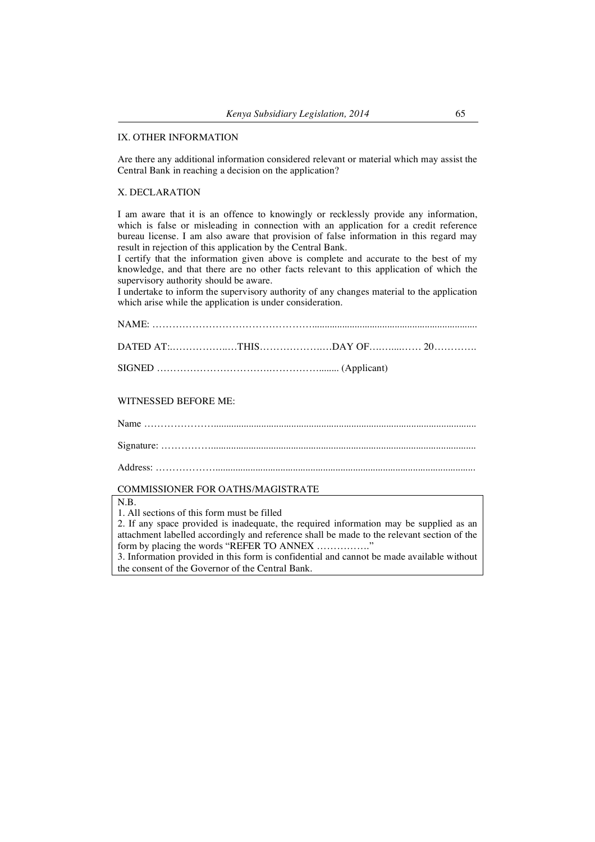## IX. OTHER INFORMATION

Are there any additional information considered relevant or material which may assist the Central Bank in reaching a decision on the application?

## X. DECLARATION

I am aware that it is an offence to knowingly or recklessly provide any information, which is false or misleading in connection with an application for a credit reference bureau license. I am also aware that provision of false information in this regard may result in rejection of this application by the Central Bank.

I certify that the information given above is complete and accurate to the best of my knowledge, and that there are no other facts relevant to this application of which the supervisory authority should be aware.

I undertake to inform the supervisory authority of any changes material to the application which arise while the application is under consideration.

#### WITNESSED BEFORE ME:

Name …………………......................................................................................................... Signature: ……………..........................................................................................................

Address: ………………........................................................................................................

## COMMISSIONER FOR OATHS/MAGISTRATE

#### N.B.

1. All sections of this form must be filled

2. If any space provided is inadequate, the required information may be supplied as an attachment labelled accordingly and reference shall be made to the relevant section of the form by placing the words "REFER TO ANNEX ................."

3. Information provided in this form is confidential and cannot be made available without the consent of the Governor of the Central Bank.